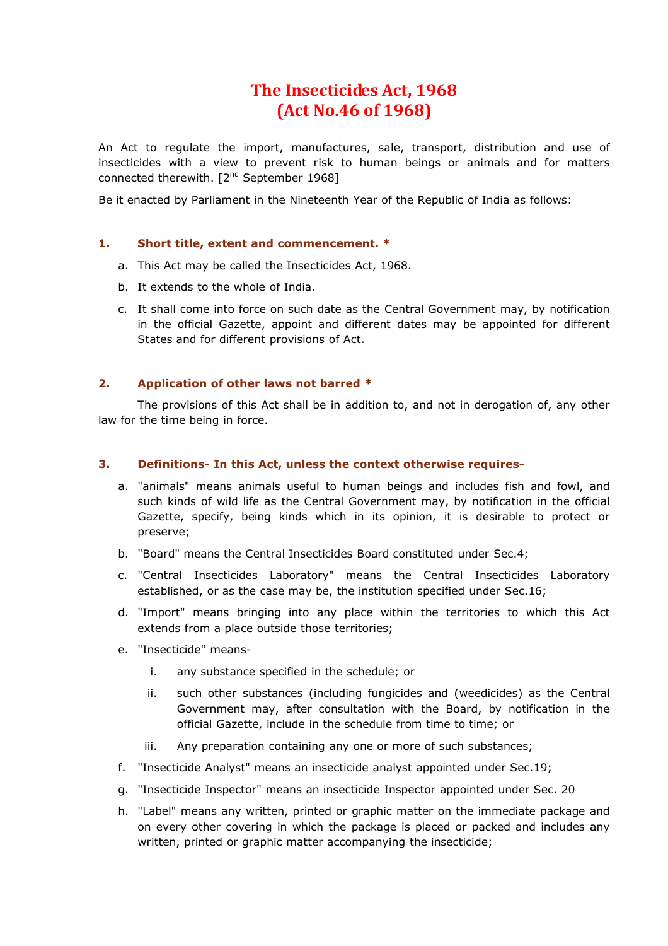# The Insecticides Act, 1968 (Act No.46 of 1968)

An Act to regulate the import, manufactures, sale, transport, distribution and use of insecticides with a view to prevent risk to human beings or animals and for matters connected therewith.  $[2^{nd}$  September 1968]

Be it enacted by Parliament in the Nineteenth Year of the Republic of India as follows:

## 1. Short title, extent and commencement. \*

- a. This Act may be called the Insecticides Act, 1968.
- b. It extends to the whole of India.
- c. It shall come into force on such date as the Central Government may, by notification in the official Gazette, appoint and different dates may be appointed for different States and for different provisions of Act.

## 2. Application of other laws not barred \*

The provisions of this Act shall be in addition to, and not in derogation of, any other law for the time being in force.

## 3. Definitions- In this Act, unless the context otherwise requires-

- a. "animals" means animals useful to human beings and includes fish and fowl, and such kinds of wild life as the Central Government may, by notification in the official Gazette, specify, being kinds which in its opinion, it is desirable to protect or preserve;
- b. "Board" means the Central Insecticides Board constituted under Sec.4;
- c. "Central Insecticides Laboratory" means the Central Insecticides Laboratory established, or as the case may be, the institution specified under Sec.16;
- d. "Import" means bringing into any place within the territories to which this Act extends from a place outside those territories;
- e. "Insecticide" means
	- i. any substance specified in the schedule; or
	- ii. such other substances (including fungicides and (weedicides) as the Central Government may, after consultation with the Board, by notification in the official Gazette, include in the schedule from time to time; or
	- iii. Any preparation containing any one or more of such substances;
- f. "Insecticide Analyst" means an insecticide analyst appointed under Sec.19;
- g. "Insecticide Inspector" means an insecticide Inspector appointed under Sec. 20
- h. "Label" means any written, printed or graphic matter on the immediate package and on every other covering in which the package is placed or packed and includes any written, printed or graphic matter accompanying the insecticide;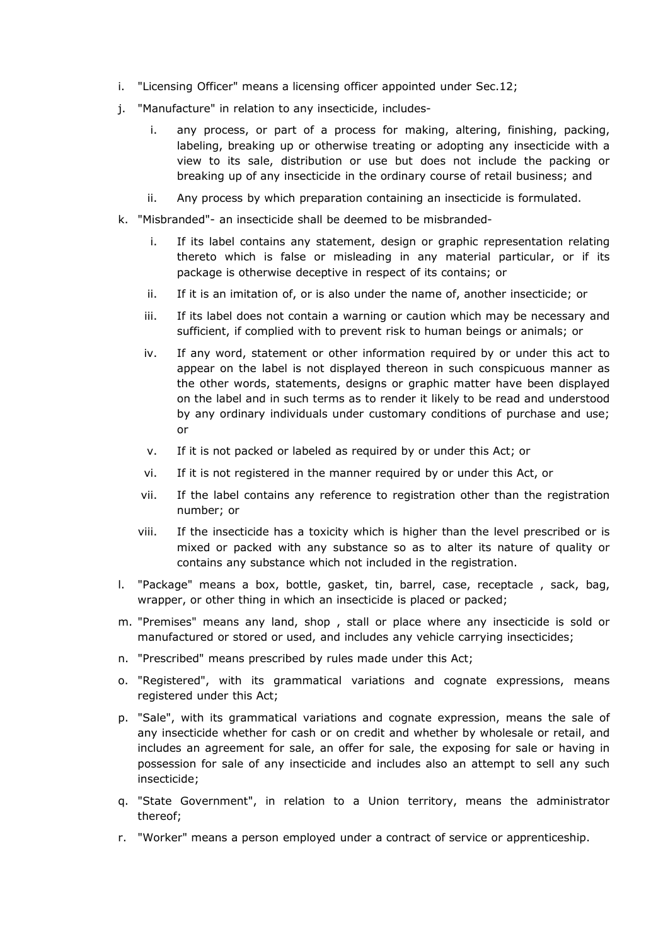- i. "Licensing Officer" means a licensing officer appointed under Sec.12;
- j. "Manufacture" in relation to any insecticide, includes
	- i. any process, or part of a process for making, altering, finishing, packing, labeling, breaking up or otherwise treating or adopting any insecticide with a view to its sale, distribution or use but does not include the packing or breaking up of any insecticide in the ordinary course of retail business; and
	- ii. Any process by which preparation containing an insecticide is formulated.
- k. "Misbranded"- an insecticide shall be deemed to be misbranded
	- i. If its label contains any statement, design or graphic representation relating thereto which is false or misleading in any material particular, or if its package is otherwise deceptive in respect of its contains; or
	- ii. If it is an imitation of, or is also under the name of, another insecticide; or
	- iii. If its label does not contain a warning or caution which may be necessary and sufficient, if complied with to prevent risk to human beings or animals; or
	- iv. If any word, statement or other information required by or under this act to appear on the label is not displayed thereon in such conspicuous manner as the other words, statements, designs or graphic matter have been displayed on the label and in such terms as to render it likely to be read and understood by any ordinary individuals under customary conditions of purchase and use; or
	- v. If it is not packed or labeled as required by or under this Act; or
	- vi. If it is not registered in the manner required by or under this Act, or
	- vii. If the label contains any reference to registration other than the registration number; or
	- viii. If the insecticide has a toxicity which is higher than the level prescribed or is mixed or packed with any substance so as to alter its nature of quality or contains any substance which not included in the registration.
- l. "Package" means a box, bottle, gasket, tin, barrel, case, receptacle , sack, bag, wrapper, or other thing in which an insecticide is placed or packed;
- m. "Premises" means any land, shop , stall or place where any insecticide is sold or manufactured or stored or used, and includes any vehicle carrying insecticides;
- n. "Prescribed" means prescribed by rules made under this Act;
- o. "Registered", with its grammatical variations and cognate expressions, means registered under this Act;
- p. "Sale", with its grammatical variations and cognate expression, means the sale of any insecticide whether for cash or on credit and whether by wholesale or retail, and includes an agreement for sale, an offer for sale, the exposing for sale or having in possession for sale of any insecticide and includes also an attempt to sell any such insecticide;
- q. "State Government", in relation to a Union territory, means the administrator thereof;
- r. "Worker" means a person employed under a contract of service or apprenticeship.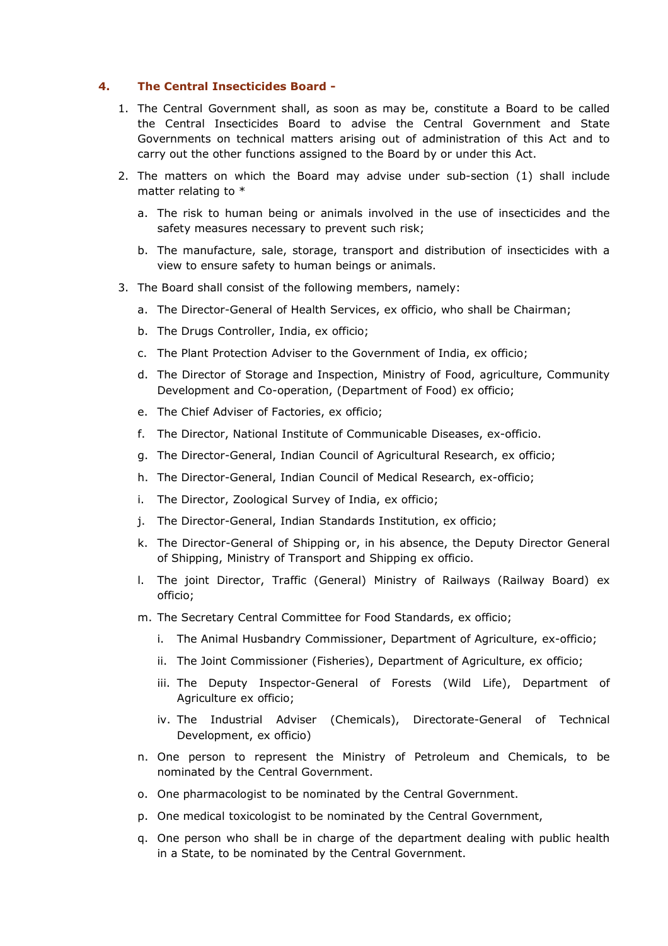## 4. The Central Insecticides Board -

- 1. The Central Government shall, as soon as may be, constitute a Board to be called the Central Insecticides Board to advise the Central Government and State Governments on technical matters arising out of administration of this Act and to carry out the other functions assigned to the Board by or under this Act.
- 2. The matters on which the Board may advise under sub-section (1) shall include matter relating to \*
	- a. The risk to human being or animals involved in the use of insecticides and the safety measures necessary to prevent such risk;
	- b. The manufacture, sale, storage, transport and distribution of insecticides with a view to ensure safety to human beings or animals.
- 3. The Board shall consist of the following members, namely:
	- a. The Director-General of Health Services, ex officio, who shall be Chairman;
	- b. The Drugs Controller, India, ex officio;
	- c. The Plant Protection Adviser to the Government of India, ex officio;
	- d. The Director of Storage and Inspection, Ministry of Food, agriculture, Community Development and Co-operation, (Department of Food) ex officio;
	- e. The Chief Adviser of Factories, ex officio;
	- f. The Director, National Institute of Communicable Diseases, ex-officio.
	- g. The Director-General, Indian Council of Agricultural Research, ex officio;
	- h. The Director-General, Indian Council of Medical Research, ex-officio;
	- i. The Director, Zoological Survey of India, ex officio;
	- j. The Director-General, Indian Standards Institution, ex officio;
	- k. The Director-General of Shipping or, in his absence, the Deputy Director General of Shipping, Ministry of Transport and Shipping ex officio.
	- l. The joint Director, Traffic (General) Ministry of Railways (Railway Board) ex officio;
	- m. The Secretary Central Committee for Food Standards, ex officio;
		- i. The Animal Husbandry Commissioner, Department of Agriculture, ex-officio;
		- ii. The Joint Commissioner (Fisheries), Department of Agriculture, ex officio;
		- iii. The Deputy Inspector-General of Forests (Wild Life), Department of Agriculture ex officio;
		- iv. The Industrial Adviser (Chemicals), Directorate-General of Technical Development, ex officio)
	- n. One person to represent the Ministry of Petroleum and Chemicals, to be nominated by the Central Government.
	- o. One pharmacologist to be nominated by the Central Government.
	- p. One medical toxicologist to be nominated by the Central Government,
	- q. One person who shall be in charge of the department dealing with public health in a State, to be nominated by the Central Government.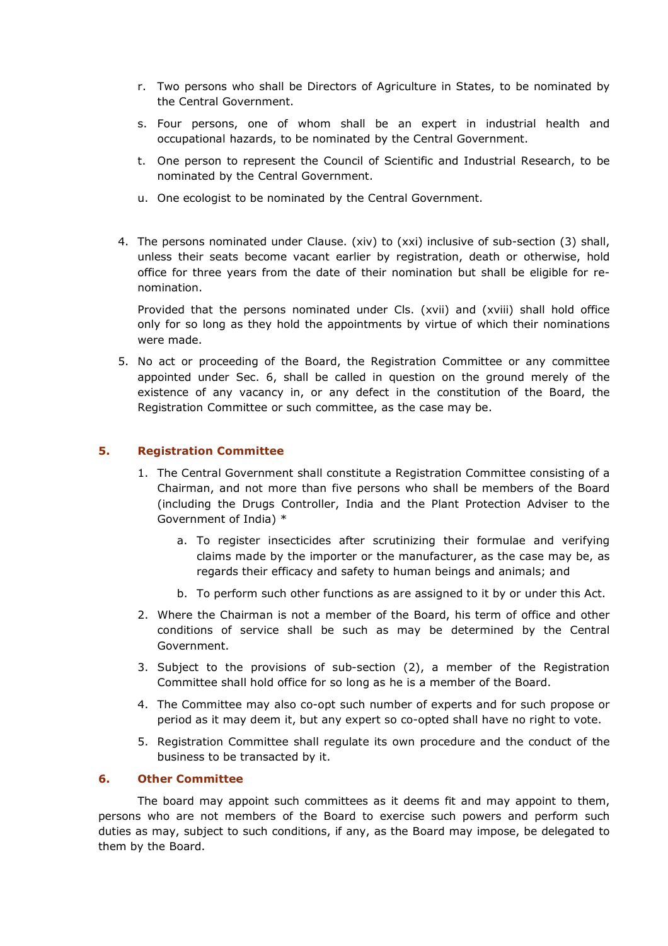- r. Two persons who shall be Directors of Agriculture in States, to be nominated by the Central Government.
- s. Four persons, one of whom shall be an expert in industrial health and occupational hazards, to be nominated by the Central Government.
- t. One person to represent the Council of Scientific and Industrial Research, to be nominated by the Central Government.
- u. One ecologist to be nominated by the Central Government.
- 4. The persons nominated under Clause. (xiv) to (xxi) inclusive of sub-section (3) shall, unless their seats become vacant earlier by registration, death or otherwise, hold office for three years from the date of their nomination but shall be eligible for renomination.

Provided that the persons nominated under Cls. (xvii) and (xviii) shall hold office only for so long as they hold the appointments by virtue of which their nominations were made.

5. No act or proceeding of the Board, the Registration Committee or any committee appointed under Sec. 6, shall be called in question on the ground merely of the existence of any vacancy in, or any defect in the constitution of the Board, the Registration Committee or such committee, as the case may be.

## 5. Registration Committee

- 1. The Central Government shall constitute a Registration Committee consisting of a Chairman, and not more than five persons who shall be members of the Board (including the Drugs Controller, India and the Plant Protection Adviser to the Government of India) \*
	- a. To register insecticides after scrutinizing their formulae and verifying claims made by the importer or the manufacturer, as the case may be, as regards their efficacy and safety to human beings and animals; and
	- b. To perform such other functions as are assigned to it by or under this Act.
- 2. Where the Chairman is not a member of the Board, his term of office and other conditions of service shall be such as may be determined by the Central Government.
- 3. Subject to the provisions of sub-section (2), a member of the Registration Committee shall hold office for so long as he is a member of the Board.
- 4. The Committee may also co-opt such number of experts and for such propose or period as it may deem it, but any expert so co-opted shall have no right to vote.
- 5. Registration Committee shall regulate its own procedure and the conduct of the business to be transacted by it.

#### 6. Other Committee

The board may appoint such committees as it deems fit and may appoint to them, persons who are not members of the Board to exercise such powers and perform such duties as may, subject to such conditions, if any, as the Board may impose, be delegated to them by the Board.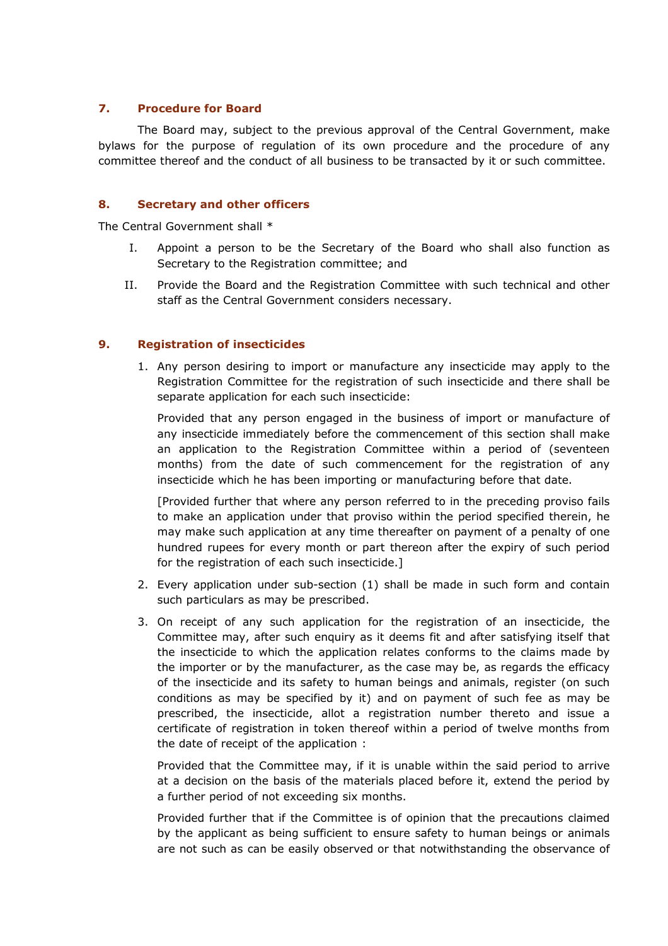## 7. Procedure for Board

The Board may, subject to the previous approval of the Central Government, make bylaws for the purpose of regulation of its own procedure and the procedure of any committee thereof and the conduct of all business to be transacted by it or such committee.

## 8. Secretary and other officers

The Central Government shall \*

- I. Appoint a person to be the Secretary of the Board who shall also function as Secretary to the Registration committee; and
- II. Provide the Board and the Registration Committee with such technical and other staff as the Central Government considers necessary.

## 9. Registration of insecticides

1. Any person desiring to import or manufacture any insecticide may apply to the Registration Committee for the registration of such insecticide and there shall be separate application for each such insecticide:

Provided that any person engaged in the business of import or manufacture of any insecticide immediately before the commencement of this section shall make an application to the Registration Committee within a period of (seventeen months) from the date of such commencement for the registration of any insecticide which he has been importing or manufacturing before that date.

[Provided further that where any person referred to in the preceding proviso fails to make an application under that proviso within the period specified therein, he may make such application at any time thereafter on payment of a penalty of one hundred rupees for every month or part thereon after the expiry of such period for the registration of each such insecticide.]

- 2. Every application under sub-section (1) shall be made in such form and contain such particulars as may be prescribed.
- 3. On receipt of any such application for the registration of an insecticide, the Committee may, after such enquiry as it deems fit and after satisfying itself that the insecticide to which the application relates conforms to the claims made by the importer or by the manufacturer, as the case may be, as regards the efficacy of the insecticide and its safety to human beings and animals, register (on such conditions as may be specified by it) and on payment of such fee as may be prescribed, the insecticide, allot a registration number thereto and issue a certificate of registration in token thereof within a period of twelve months from the date of receipt of the application :

Provided that the Committee may, if it is unable within the said period to arrive at a decision on the basis of the materials placed before it, extend the period by a further period of not exceeding six months.

Provided further that if the Committee is of opinion that the precautions claimed by the applicant as being sufficient to ensure safety to human beings or animals are not such as can be easily observed or that notwithstanding the observance of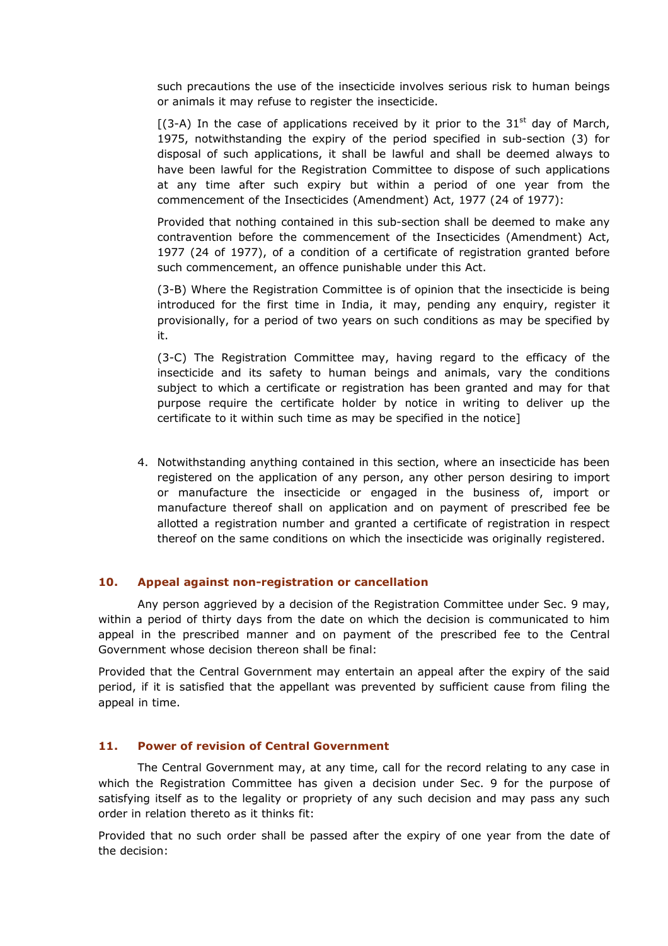such precautions the use of the insecticide involves serious risk to human beings or animals it may refuse to register the insecticide.

[(3-A) In the case of applications received by it prior to the  $31<sup>st</sup>$  day of March, 1975, notwithstanding the expiry of the period specified in sub-section (3) for disposal of such applications, it shall be lawful and shall be deemed always to have been lawful for the Registration Committee to dispose of such applications at any time after such expiry but within a period of one year from the commencement of the Insecticides (Amendment) Act, 1977 (24 of 1977):

Provided that nothing contained in this sub-section shall be deemed to make any contravention before the commencement of the Insecticides (Amendment) Act, 1977 (24 of 1977), of a condition of a certificate of registration granted before such commencement, an offence punishable under this Act.

(3-B) Where the Registration Committee is of opinion that the insecticide is being introduced for the first time in India, it may, pending any enquiry, register it provisionally, for a period of two years on such conditions as may be specified by it.

(3-C) The Registration Committee may, having regard to the efficacy of the insecticide and its safety to human beings and animals, vary the conditions subject to which a certificate or registration has been granted and may for that purpose require the certificate holder by notice in writing to deliver up the certificate to it within such time as may be specified in the notice]

4. Notwithstanding anything contained in this section, where an insecticide has been registered on the application of any person, any other person desiring to import or manufacture the insecticide or engaged in the business of, import or manufacture thereof shall on application and on payment of prescribed fee be allotted a registration number and granted a certificate of registration in respect thereof on the same conditions on which the insecticide was originally registered.

#### 10. Appeal against non-registration or cancellation

Any person aggrieved by a decision of the Registration Committee under Sec. 9 may, within a period of thirty days from the date on which the decision is communicated to him appeal in the prescribed manner and on payment of the prescribed fee to the Central Government whose decision thereon shall be final:

Provided that the Central Government may entertain an appeal after the expiry of the said period, if it is satisfied that the appellant was prevented by sufficient cause from filing the appeal in time.

## 11. Power of revision of Central Government

The Central Government may, at any time, call for the record relating to any case in which the Registration Committee has given a decision under Sec. 9 for the purpose of satisfying itself as to the legality or propriety of any such decision and may pass any such order in relation thereto as it thinks fit:

Provided that no such order shall be passed after the expiry of one year from the date of the decision: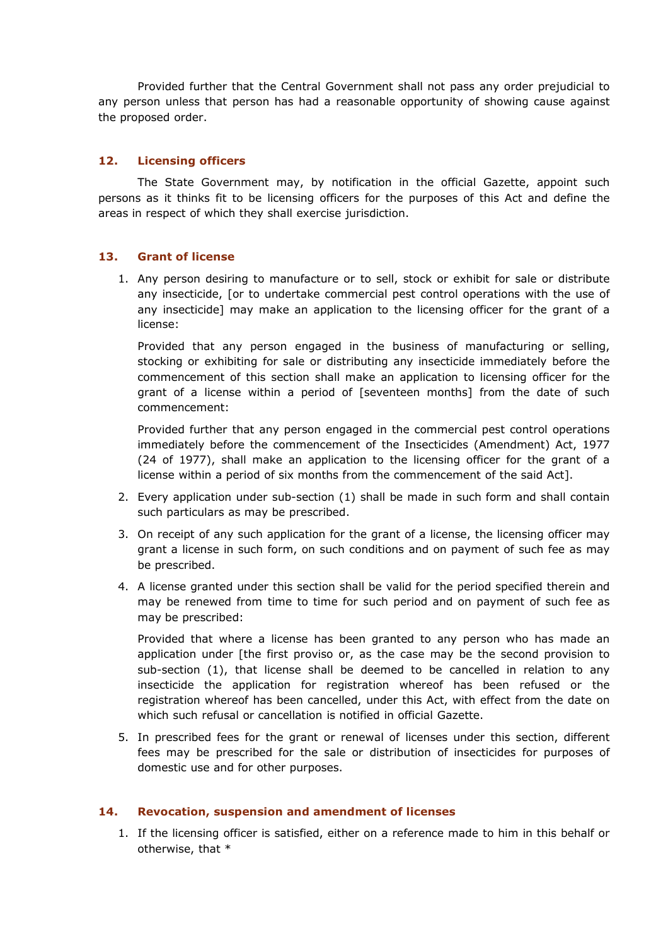Provided further that the Central Government shall not pass any order prejudicial to any person unless that person has had a reasonable opportunity of showing cause against the proposed order.

## 12. Licensing officers

 The State Government may, by notification in the official Gazette, appoint such persons as it thinks fit to be licensing officers for the purposes of this Act and define the areas in respect of which they shall exercise jurisdiction.

#### 13. Grant of license

1. Any person desiring to manufacture or to sell, stock or exhibit for sale or distribute any insecticide, [or to undertake commercial pest control operations with the use of any insecticide] may make an application to the licensing officer for the grant of a license:

Provided that any person engaged in the business of manufacturing or selling, stocking or exhibiting for sale or distributing any insecticide immediately before the commencement of this section shall make an application to licensing officer for the grant of a license within a period of [seventeen months] from the date of such commencement:

Provided further that any person engaged in the commercial pest control operations immediately before the commencement of the Insecticides (Amendment) Act, 1977 (24 of 1977), shall make an application to the licensing officer for the grant of a license within a period of six months from the commencement of the said Act].

- 2. Every application under sub-section (1) shall be made in such form and shall contain such particulars as may be prescribed.
- 3. On receipt of any such application for the grant of a license, the licensing officer may grant a license in such form, on such conditions and on payment of such fee as may be prescribed.
- 4. A license granted under this section shall be valid for the period specified therein and may be renewed from time to time for such period and on payment of such fee as may be prescribed:

Provided that where a license has been granted to any person who has made an application under [the first proviso or, as the case may be the second provision to sub-section (1), that license shall be deemed to be cancelled in relation to any insecticide the application for registration whereof has been refused or the registration whereof has been cancelled, under this Act, with effect from the date on which such refusal or cancellation is notified in official Gazette.

5. In prescribed fees for the grant or renewal of licenses under this section, different fees may be prescribed for the sale or distribution of insecticides for purposes of domestic use and for other purposes.

#### 14. Revocation, suspension and amendment of licenses

1. If the licensing officer is satisfied, either on a reference made to him in this behalf or otherwise, that \*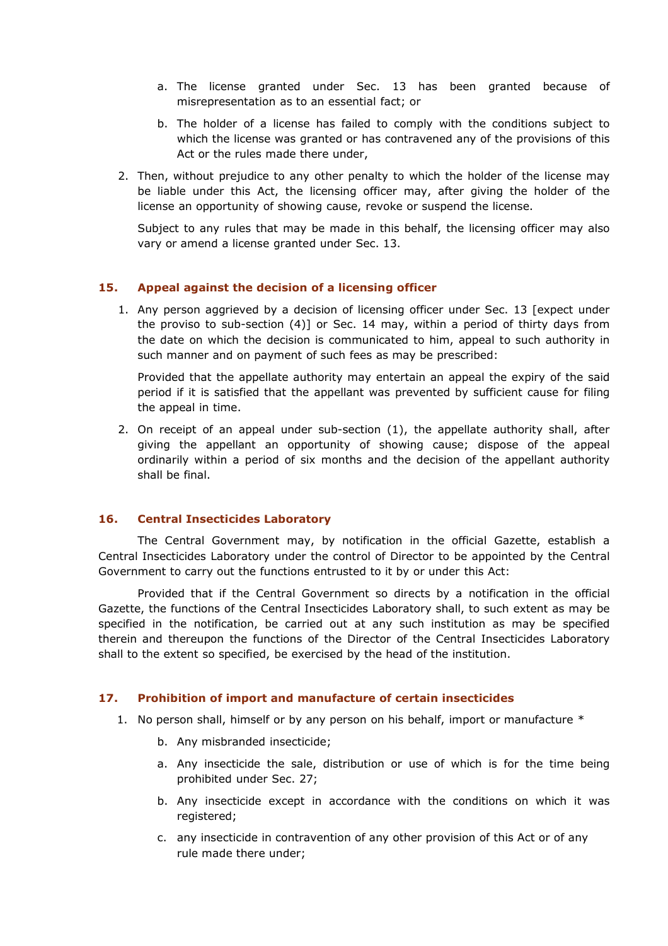- a. The license granted under Sec. 13 has been granted because of misrepresentation as to an essential fact; or
- b. The holder of a license has failed to comply with the conditions subject to which the license was granted or has contravened any of the provisions of this Act or the rules made there under,
- 2. Then, without prejudice to any other penalty to which the holder of the license may be liable under this Act, the licensing officer may, after giving the holder of the license an opportunity of showing cause, revoke or suspend the license.

Subject to any rules that may be made in this behalf, the licensing officer may also vary or amend a license granted under Sec. 13.

## 15. Appeal against the decision of a licensing officer

1. Any person aggrieved by a decision of licensing officer under Sec. 13 [expect under the proviso to sub-section (4)] or Sec. 14 may, within a period of thirty days from the date on which the decision is communicated to him, appeal to such authority in such manner and on payment of such fees as may be prescribed:

Provided that the appellate authority may entertain an appeal the expiry of the said period if it is satisfied that the appellant was prevented by sufficient cause for filing the appeal in time.

2. On receipt of an appeal under sub-section (1), the appellate authority shall, after giving the appellant an opportunity of showing cause; dispose of the appeal ordinarily within a period of six months and the decision of the appellant authority shall be final.

#### 16. Central Insecticides Laboratory

The Central Government may, by notification in the official Gazette, establish a Central Insecticides Laboratory under the control of Director to be appointed by the Central Government to carry out the functions entrusted to it by or under this Act:

Provided that if the Central Government so directs by a notification in the official Gazette, the functions of the Central Insecticides Laboratory shall, to such extent as may be specified in the notification, be carried out at any such institution as may be specified therein and thereupon the functions of the Director of the Central Insecticides Laboratory shall to the extent so specified, be exercised by the head of the institution.

#### 17. Prohibition of import and manufacture of certain insecticides

- 1. No person shall, himself or by any person on his behalf, import or manufacture \*
	- b. Any misbranded insecticide;
	- a. Any insecticide the sale, distribution or use of which is for the time being prohibited under Sec. 27;
	- b. Any insecticide except in accordance with the conditions on which it was registered;
	- c. any insecticide in contravention of any other provision of this Act or of any rule made there under;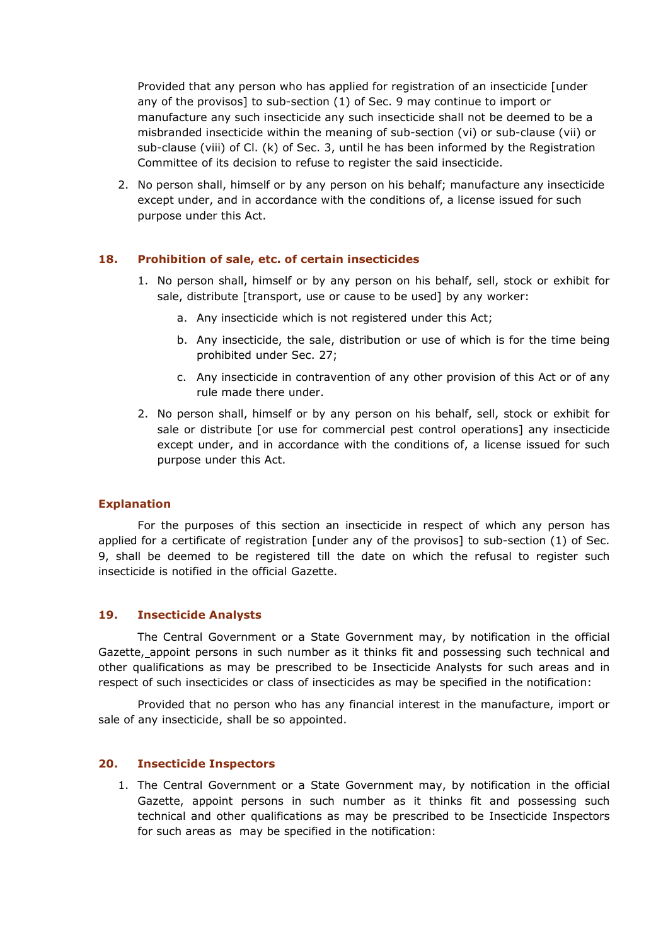Provided that any person who has applied for registration of an insecticide [under any of the provisos] to sub-section (1) of Sec. 9 may continue to import or manufacture any such insecticide any such insecticide shall not be deemed to be a misbranded insecticide within the meaning of sub-section (vi) or sub-clause (vii) or sub-clause (viii) of Cl. (k) of Sec. 3, until he has been informed by the Registration Committee of its decision to refuse to register the said insecticide.

2. No person shall, himself or by any person on his behalf; manufacture any insecticide except under, and in accordance with the conditions of, a license issued for such purpose under this Act.

## 18. Prohibition of sale, etc. of certain insecticides

- 1. No person shall, himself or by any person on his behalf, sell, stock or exhibit for sale, distribute [transport, use or cause to be used] by any worker:
	- a. Any insecticide which is not registered under this Act;
	- b. Any insecticide, the sale, distribution or use of which is for the time being prohibited under Sec. 27;
	- c. Any insecticide in contravention of any other provision of this Act or of any rule made there under.
- 2. No person shall, himself or by any person on his behalf, sell, stock or exhibit for sale or distribute [or use for commercial pest control operations] any insecticide except under, and in accordance with the conditions of, a license issued for such purpose under this Act.

#### Explanation

For the purposes of this section an insecticide in respect of which any person has applied for a certificate of registration [under any of the provisos] to sub-section (1) of Sec. 9, shall be deemed to be registered till the date on which the refusal to register such insecticide is notified in the official Gazette.

#### 19. Insecticide Analysts

The Central Government or a State Government may, by notification in the official Gazette, appoint persons in such number as it thinks fit and possessing such technical and other qualifications as may be prescribed to be Insecticide Analysts for such areas and in respect of such insecticides or class of insecticides as may be specified in the notification:

Provided that no person who has any financial interest in the manufacture, import or sale of any insecticide, shall be so appointed.

#### 20. Insecticide Inspectors

1. The Central Government or a State Government may, by notification in the official Gazette, appoint persons in such number as it thinks fit and possessing such technical and other qualifications as may be prescribed to be Insecticide Inspectors for such areas as may be specified in the notification: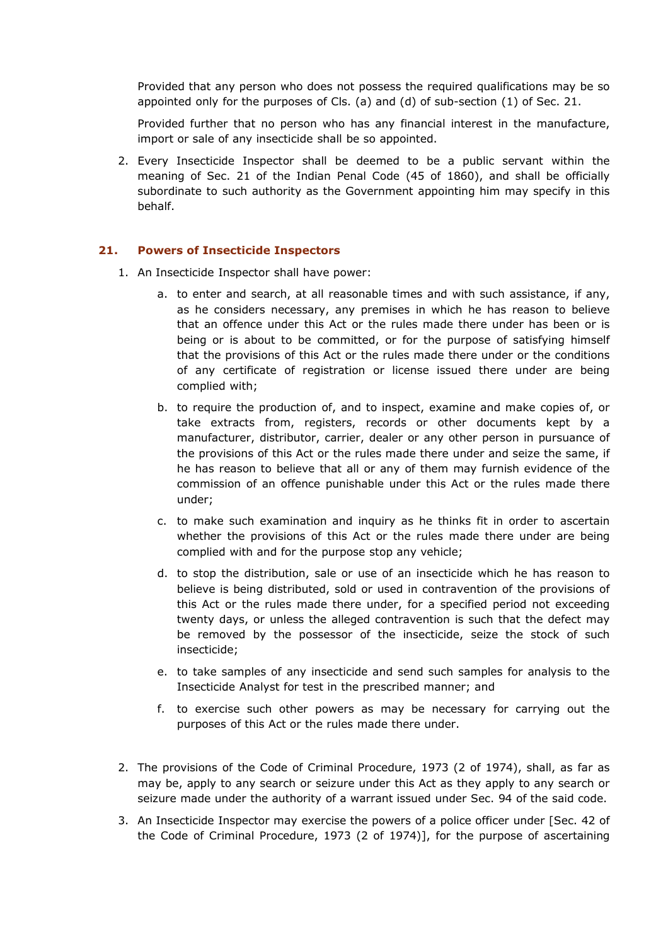Provided that any person who does not possess the required qualifications may be so appointed only for the purposes of Cls. (a) and (d) of sub-section (1) of Sec. 21.

Provided further that no person who has any financial interest in the manufacture, import or sale of any insecticide shall be so appointed.

2. Every Insecticide Inspector shall be deemed to be a public servant within the meaning of Sec. 21 of the Indian Penal Code (45 of 1860), and shall be officially subordinate to such authority as the Government appointing him may specify in this behalf.

## 21. Powers of Insecticide Inspectors

- 1. An Insecticide Inspector shall have power:
	- a. to enter and search, at all reasonable times and with such assistance, if any, as he considers necessary, any premises in which he has reason to believe that an offence under this Act or the rules made there under has been or is being or is about to be committed, or for the purpose of satisfying himself that the provisions of this Act or the rules made there under or the conditions of any certificate of registration or license issued there under are being complied with;
	- b. to require the production of, and to inspect, examine and make copies of, or take extracts from, registers, records or other documents kept by a manufacturer, distributor, carrier, dealer or any other person in pursuance of the provisions of this Act or the rules made there under and seize the same, if he has reason to believe that all or any of them may furnish evidence of the commission of an offence punishable under this Act or the rules made there under;
	- c. to make such examination and inquiry as he thinks fit in order to ascertain whether the provisions of this Act or the rules made there under are being complied with and for the purpose stop any vehicle;
	- d. to stop the distribution, sale or use of an insecticide which he has reason to believe is being distributed, sold or used in contravention of the provisions of this Act or the rules made there under, for a specified period not exceeding twenty days, or unless the alleged contravention is such that the defect may be removed by the possessor of the insecticide, seize the stock of such insecticide;
	- e. to take samples of any insecticide and send such samples for analysis to the Insecticide Analyst for test in the prescribed manner; and
	- f. to exercise such other powers as may be necessary for carrying out the purposes of this Act or the rules made there under.
- 2. The provisions of the Code of Criminal Procedure, 1973 (2 of 1974), shall, as far as may be, apply to any search or seizure under this Act as they apply to any search or seizure made under the authority of a warrant issued under Sec. 94 of the said code.
- 3. An Insecticide Inspector may exercise the powers of a police officer under [Sec. 42 of the Code of Criminal Procedure, 1973 (2 of 1974)], for the purpose of ascertaining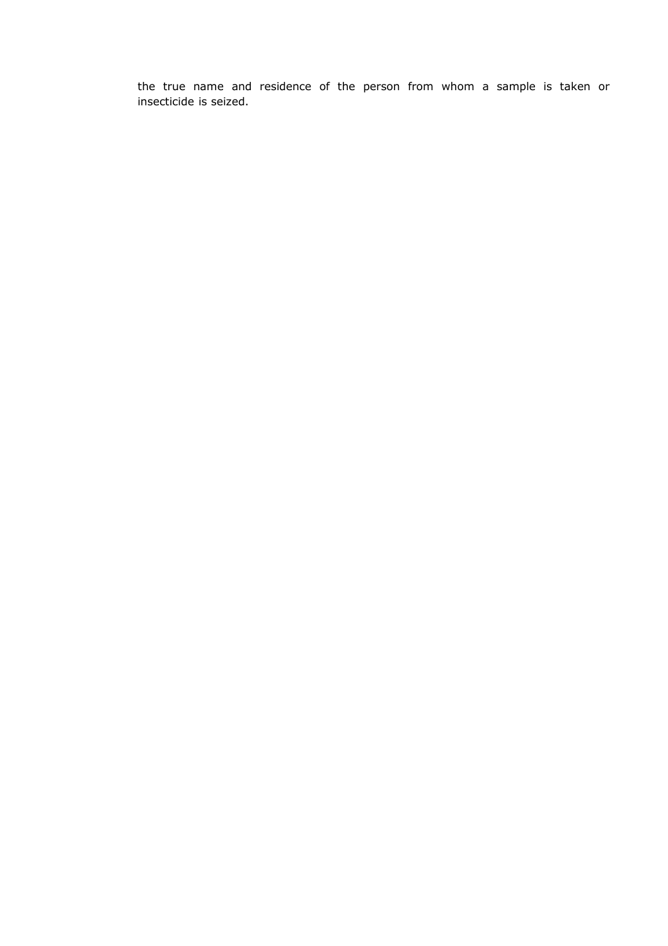the true name and residence of the person from whom a sample is taken or insecticide is seized.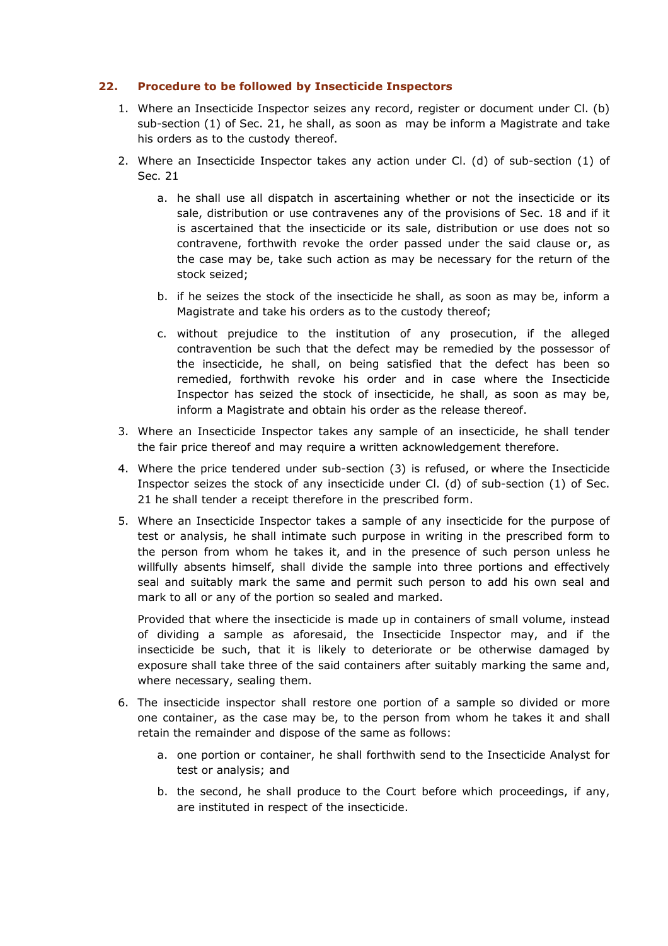## 22. Procedure to be followed by Insecticide Inspectors

- 1. Where an Insecticide Inspector seizes any record, register or document under Cl. (b) sub-section (1) of Sec. 21, he shall, as soon as may be inform a Magistrate and take his orders as to the custody thereof.
- 2. Where an Insecticide Inspector takes any action under Cl. (d) of sub-section (1) of Sec. 21
	- a. he shall use all dispatch in ascertaining whether or not the insecticide or its sale, distribution or use contravenes any of the provisions of Sec. 18 and if it is ascertained that the insecticide or its sale, distribution or use does not so contravene, forthwith revoke the order passed under the said clause or, as the case may be, take such action as may be necessary for the return of the stock seized;
	- b. if he seizes the stock of the insecticide he shall, as soon as may be, inform a Magistrate and take his orders as to the custody thereof;
	- c. without prejudice to the institution of any prosecution, if the alleged contravention be such that the defect may be remedied by the possessor of the insecticide, he shall, on being satisfied that the defect has been so remedied, forthwith revoke his order and in case where the Insecticide Inspector has seized the stock of insecticide, he shall, as soon as may be, inform a Magistrate and obtain his order as the release thereof.
- 3. Where an Insecticide Inspector takes any sample of an insecticide, he shall tender the fair price thereof and may require a written acknowledgement therefore.
- 4. Where the price tendered under sub-section (3) is refused, or where the Insecticide Inspector seizes the stock of any insecticide under Cl. (d) of sub-section (1) of Sec. 21 he shall tender a receipt therefore in the prescribed form.
- 5. Where an Insecticide Inspector takes a sample of any insecticide for the purpose of test or analysis, he shall intimate such purpose in writing in the prescribed form to the person from whom he takes it, and in the presence of such person unless he willfully absents himself, shall divide the sample into three portions and effectively seal and suitably mark the same and permit such person to add his own seal and mark to all or any of the portion so sealed and marked.

Provided that where the insecticide is made up in containers of small volume, instead of dividing a sample as aforesaid, the Insecticide Inspector may, and if the insecticide be such, that it is likely to deteriorate or be otherwise damaged by exposure shall take three of the said containers after suitably marking the same and, where necessary, sealing them.

- 6. The insecticide inspector shall restore one portion of a sample so divided or more one container, as the case may be, to the person from whom he takes it and shall retain the remainder and dispose of the same as follows:
	- a. one portion or container, he shall forthwith send to the Insecticide Analyst for test or analysis; and
	- b. the second, he shall produce to the Court before which proceedings, if any, are instituted in respect of the insecticide.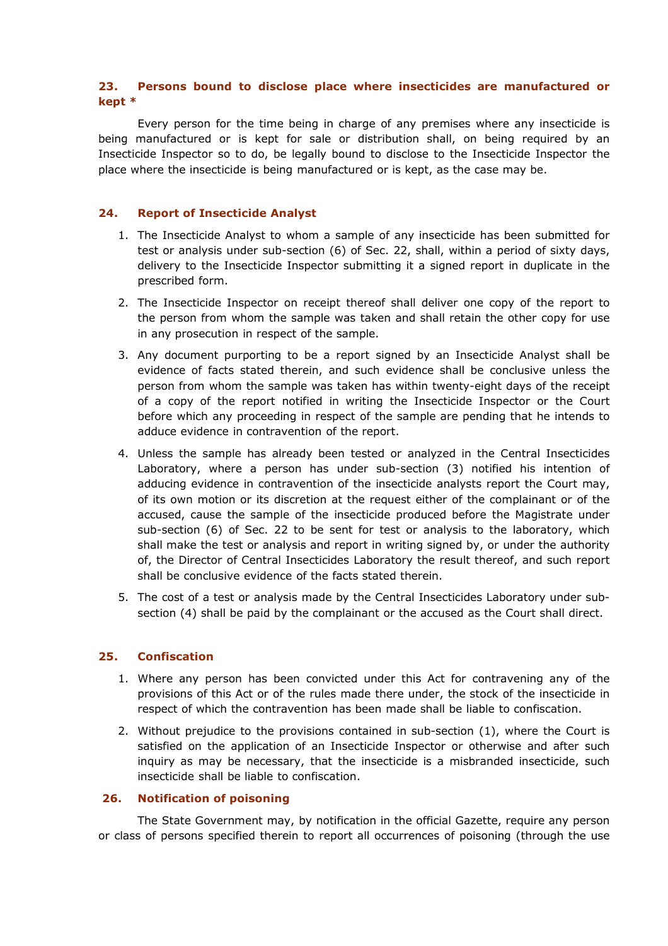## 23. Persons bound to disclose place where insecticides are manufactured or kept \*

Every person for the time being in charge of any premises where any insecticide is being manufactured or is kept for sale or distribution shall, on being required by an Insecticide Inspector so to do, be legally bound to disclose to the Insecticide Inspector the place where the insecticide is being manufactured or is kept, as the case may be.

#### 24. Report of Insecticide Analyst

- 1. The Insecticide Analyst to whom a sample of any insecticide has been submitted for test or analysis under sub-section (6) of Sec. 22, shall, within a period of sixty days, delivery to the Insecticide Inspector submitting it a signed report in duplicate in the prescribed form.
- 2. The Insecticide Inspector on receipt thereof shall deliver one copy of the report to the person from whom the sample was taken and shall retain the other copy for use in any prosecution in respect of the sample.
- 3. Any document purporting to be a report signed by an Insecticide Analyst shall be evidence of facts stated therein, and such evidence shall be conclusive unless the person from whom the sample was taken has within twenty-eight days of the receipt of a copy of the report notified in writing the Insecticide Inspector or the Court before which any proceeding in respect of the sample are pending that he intends to adduce evidence in contravention of the report.
- 4. Unless the sample has already been tested or analyzed in the Central Insecticides Laboratory, where a person has under sub-section (3) notified his intention of adducing evidence in contravention of the insecticide analysts report the Court may, of its own motion or its discretion at the request either of the complainant or of the accused, cause the sample of the insecticide produced before the Magistrate under sub-section (6) of Sec. 22 to be sent for test or analysis to the laboratory, which shall make the test or analysis and report in writing signed by, or under the authority of, the Director of Central Insecticides Laboratory the result thereof, and such report shall be conclusive evidence of the facts stated therein.
- 5. The cost of a test or analysis made by the Central Insecticides Laboratory under subsection (4) shall be paid by the complainant or the accused as the Court shall direct.

#### 25. Confiscation

- 1. Where any person has been convicted under this Act for contravening any of the provisions of this Act or of the rules made there under, the stock of the insecticide in respect of which the contravention has been made shall be liable to confiscation.
- 2. Without prejudice to the provisions contained in sub-section (1), where the Court is satisfied on the application of an Insecticide Inspector or otherwise and after such inquiry as may be necessary, that the insecticide is a misbranded insecticide, such insecticide shall be liable to confiscation.

#### 26. Notification of poisoning

The State Government may, by notification in the official Gazette, require any person or class of persons specified therein to report all occurrences of poisoning (through the use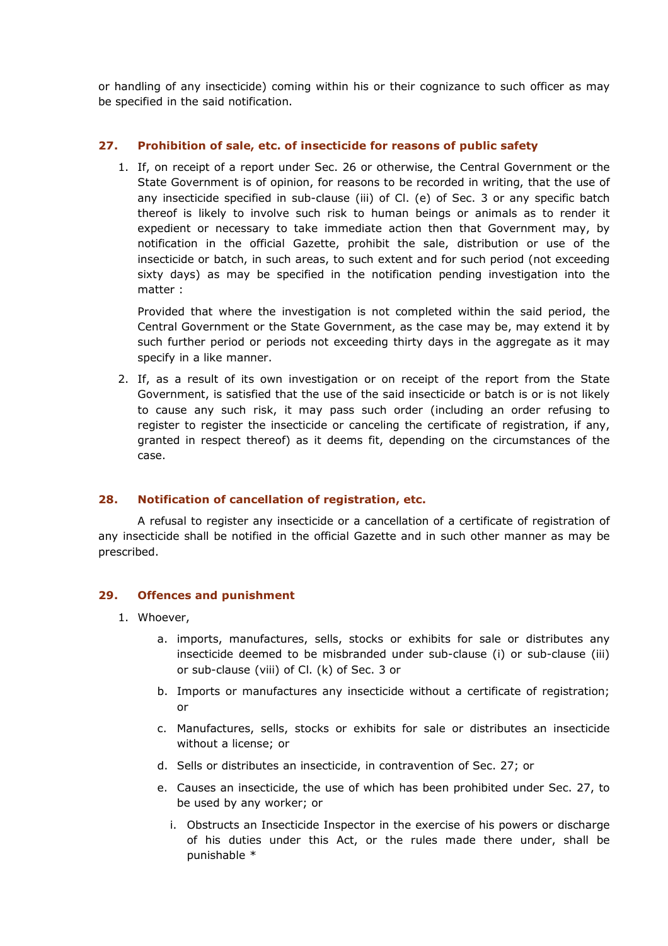or handling of any insecticide) coming within his or their cognizance to such officer as may be specified in the said notification.

## 27. Prohibition of sale, etc. of insecticide for reasons of public safety

1. If, on receipt of a report under Sec. 26 or otherwise, the Central Government or the State Government is of opinion, for reasons to be recorded in writing, that the use of any insecticide specified in sub-clause (iii) of Cl. (e) of Sec. 3 or any specific batch thereof is likely to involve such risk to human beings or animals as to render it expedient or necessary to take immediate action then that Government may, by notification in the official Gazette, prohibit the sale, distribution or use of the insecticide or batch, in such areas, to such extent and for such period (not exceeding sixty days) as may be specified in the notification pending investigation into the matter :

Provided that where the investigation is not completed within the said period, the Central Government or the State Government, as the case may be, may extend it by such further period or periods not exceeding thirty days in the aggregate as it may specify in a like manner.

2. If, as a result of its own investigation or on receipt of the report from the State Government, is satisfied that the use of the said insecticide or batch is or is not likely to cause any such risk, it may pass such order (including an order refusing to register to register the insecticide or canceling the certificate of registration, if any, granted in respect thereof) as it deems fit, depending on the circumstances of the case.

#### 28. Notification of cancellation of registration, etc.

A refusal to register any insecticide or a cancellation of a certificate of registration of any insecticide shall be notified in the official Gazette and in such other manner as may be prescribed.

#### 29. Offences and punishment

- 1. Whoever,
	- a. imports, manufactures, sells, stocks or exhibits for sale or distributes any insecticide deemed to be misbranded under sub-clause (i) or sub-clause (iii) or sub-clause (viii) of Cl. (k) of Sec. 3 or
	- b. Imports or manufactures any insecticide without a certificate of registration; or
	- c. Manufactures, sells, stocks or exhibits for sale or distributes an insecticide without a license; or
	- d. Sells or distributes an insecticide, in contravention of Sec. 27; or
	- e. Causes an insecticide, the use of which has been prohibited under Sec. 27, to be used by any worker; or
		- i. Obstructs an Insecticide Inspector in the exercise of his powers or discharge of his duties under this Act, or the rules made there under, shall be punishable \*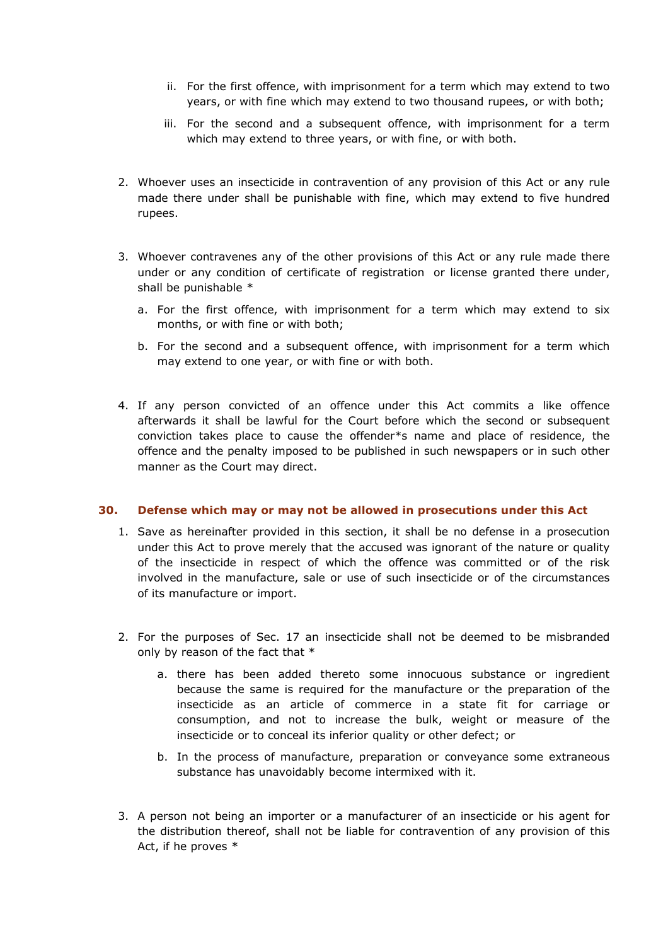- ii. For the first offence, with imprisonment for a term which may extend to two years, or with fine which may extend to two thousand rupees, or with both;
- iii. For the second and a subsequent offence, with imprisonment for a term which may extend to three years, or with fine, or with both.
- 2. Whoever uses an insecticide in contravention of any provision of this Act or any rule made there under shall be punishable with fine, which may extend to five hundred rupees.
- 3. Whoever contravenes any of the other provisions of this Act or any rule made there under or any condition of certificate of registration or license granted there under, shall be punishable \*
	- a. For the first offence, with imprisonment for a term which may extend to six months, or with fine or with both;
	- b. For the second and a subsequent offence, with imprisonment for a term which may extend to one year, or with fine or with both.
- 4. If any person convicted of an offence under this Act commits a like offence afterwards it shall be lawful for the Court before which the second or subsequent conviction takes place to cause the offender\*s name and place of residence, the offence and the penalty imposed to be published in such newspapers or in such other manner as the Court may direct.

#### 30. Defense which may or may not be allowed in prosecutions under this Act

- 1. Save as hereinafter provided in this section, it shall be no defense in a prosecution under this Act to prove merely that the accused was ignorant of the nature or quality of the insecticide in respect of which the offence was committed or of the risk involved in the manufacture, sale or use of such insecticide or of the circumstances of its manufacture or import.
- 2. For the purposes of Sec. 17 an insecticide shall not be deemed to be misbranded only by reason of the fact that \*
	- a. there has been added thereto some innocuous substance or ingredient because the same is required for the manufacture or the preparation of the insecticide as an article of commerce in a state fit for carriage or consumption, and not to increase the bulk, weight or measure of the insecticide or to conceal its inferior quality or other defect; or
	- b. In the process of manufacture, preparation or conveyance some extraneous substance has unavoidably become intermixed with it.
- 3. A person not being an importer or a manufacturer of an insecticide or his agent for the distribution thereof, shall not be liable for contravention of any provision of this Act, if he proves \*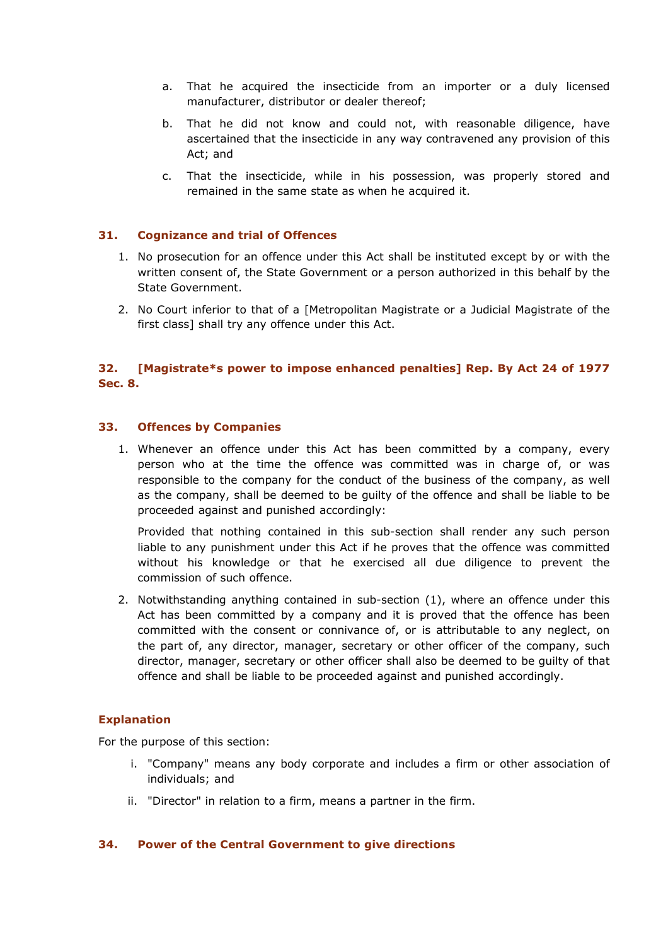- a. That he acquired the insecticide from an importer or a duly licensed manufacturer, distributor or dealer thereof;
- b. That he did not know and could not, with reasonable diligence, have ascertained that the insecticide in any way contravened any provision of this Act; and
- c. That the insecticide, while in his possession, was properly stored and remained in the same state as when he acquired it.

#### 31. Cognizance and trial of Offences

- 1. No prosecution for an offence under this Act shall be instituted except by or with the written consent of, the State Government or a person authorized in this behalf by the State Government.
- 2. No Court inferior to that of a [Metropolitan Magistrate or a Judicial Magistrate of the first class] shall try any offence under this Act.

## 32. [Magistrate\*s power to impose enhanced penalties] Rep. By Act 24 of 1977 Sec. 8.

#### 33. Offences by Companies

1. Whenever an offence under this Act has been committed by a company, every person who at the time the offence was committed was in charge of, or was responsible to the company for the conduct of the business of the company, as well as the company, shall be deemed to be guilty of the offence and shall be liable to be proceeded against and punished accordingly:

Provided that nothing contained in this sub-section shall render any such person liable to any punishment under this Act if he proves that the offence was committed without his knowledge or that he exercised all due diligence to prevent the commission of such offence.

2. Notwithstanding anything contained in sub-section (1), where an offence under this Act has been committed by a company and it is proved that the offence has been committed with the consent or connivance of, or is attributable to any neglect, on the part of, any director, manager, secretary or other officer of the company, such director, manager, secretary or other officer shall also be deemed to be guilty of that offence and shall be liable to be proceeded against and punished accordingly.

#### Explanation

For the purpose of this section:

- i. "Company" means any body corporate and includes a firm or other association of individuals; and
- ii. "Director" in relation to a firm, means a partner in the firm.

#### 34. Power of the Central Government to give directions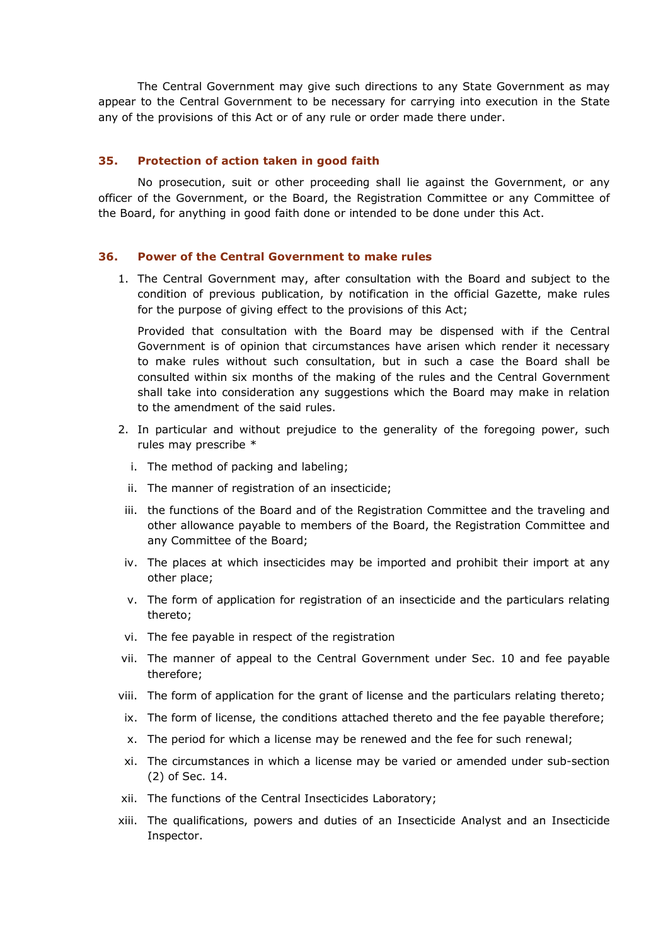The Central Government may give such directions to any State Government as may appear to the Central Government to be necessary for carrying into execution in the State any of the provisions of this Act or of any rule or order made there under.

#### 35. Protection of action taken in good faith

No prosecution, suit or other proceeding shall lie against the Government, or any officer of the Government, or the Board, the Registration Committee or any Committee of the Board, for anything in good faith done or intended to be done under this Act.

#### 36. Power of the Central Government to make rules

1. The Central Government may, after consultation with the Board and subject to the condition of previous publication, by notification in the official Gazette, make rules for the purpose of giving effect to the provisions of this Act;

Provided that consultation with the Board may be dispensed with if the Central Government is of opinion that circumstances have arisen which render it necessary to make rules without such consultation, but in such a case the Board shall be consulted within six months of the making of the rules and the Central Government shall take into consideration any suggestions which the Board may make in relation to the amendment of the said rules.

- 2. In particular and without prejudice to the generality of the foregoing power, such rules may prescribe \*
	- i. The method of packing and labeling;
	- ii. The manner of registration of an insecticide;
	- iii. the functions of the Board and of the Registration Committee and the traveling and other allowance payable to members of the Board, the Registration Committee and any Committee of the Board;
- iv. The places at which insecticides may be imported and prohibit their import at any other place;
- v. The form of application for registration of an insecticide and the particulars relating thereto;
- vi. The fee payable in respect of the registration
- vii. The manner of appeal to the Central Government under Sec. 10 and fee payable therefore;
- viii. The form of application for the grant of license and the particulars relating thereto;
- ix. The form of license, the conditions attached thereto and the fee payable therefore;
- x. The period for which a license may be renewed and the fee for such renewal;
- xi. The circumstances in which a license may be varied or amended under sub-section (2) of Sec. 14.
- xii. The functions of the Central Insecticides Laboratory;
- xiii. The qualifications, powers and duties of an Insecticide Analyst and an Insecticide Inspector.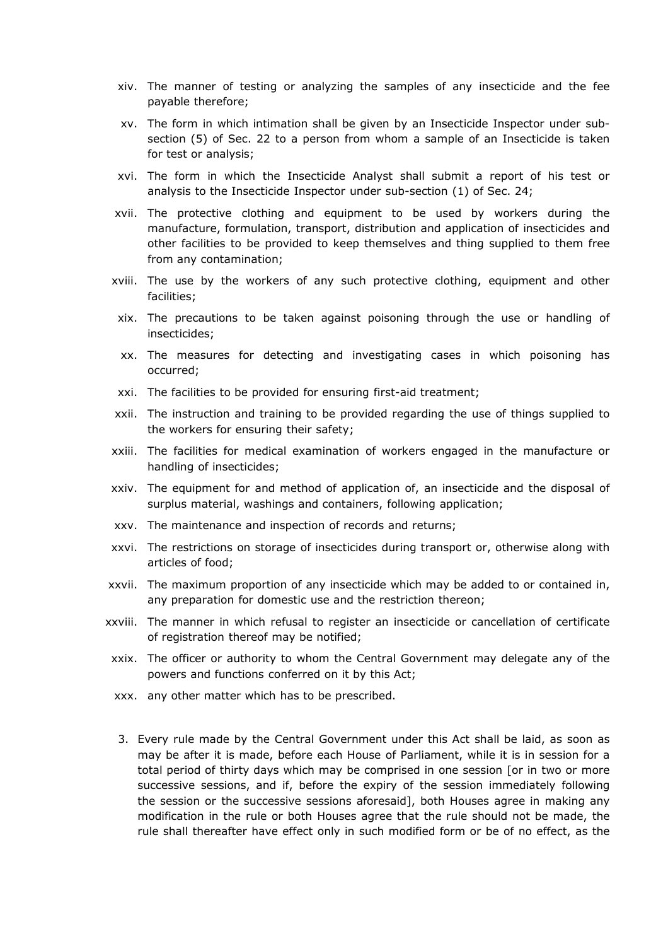- xiv. The manner of testing or analyzing the samples of any insecticide and the fee payable therefore;
- xv. The form in which intimation shall be given by an Insecticide Inspector under subsection (5) of Sec. 22 to a person from whom a sample of an Insecticide is taken for test or analysis;
- xvi. The form in which the Insecticide Analyst shall submit a report of his test or analysis to the Insecticide Inspector under sub-section (1) of Sec. 24;
- xvii. The protective clothing and equipment to be used by workers during the manufacture, formulation, transport, distribution and application of insecticides and other facilities to be provided to keep themselves and thing supplied to them free from any contamination;
- xviii. The use by the workers of any such protective clothing, equipment and other facilities;
- xix. The precautions to be taken against poisoning through the use or handling of insecticides;
- xx. The measures for detecting and investigating cases in which poisoning has occurred;
- xxi. The facilities to be provided for ensuring first-aid treatment;
- xxii. The instruction and training to be provided regarding the use of things supplied to the workers for ensuring their safety;
- xxiii. The facilities for medical examination of workers engaged in the manufacture or handling of insecticides;
- xxiv. The equipment for and method of application of, an insecticide and the disposal of surplus material, washings and containers, following application;
- xxv. The maintenance and inspection of records and returns;
- xxvi. The restrictions on storage of insecticides during transport or, otherwise along with articles of food;
- xxvii. The maximum proportion of any insecticide which may be added to or contained in, any preparation for domestic use and the restriction thereon;
- xxviii. The manner in which refusal to register an insecticide or cancellation of certificate of registration thereof may be notified;
- xxix. The officer or authority to whom the Central Government may delegate any of the powers and functions conferred on it by this Act;
- xxx. any other matter which has to be prescribed.
- 3. Every rule made by the Central Government under this Act shall be laid, as soon as may be after it is made, before each House of Parliament, while it is in session for a total period of thirty days which may be comprised in one session [or in two or more successive sessions, and if, before the expiry of the session immediately following the session or the successive sessions aforesaid], both Houses agree in making any modification in the rule or both Houses agree that the rule should not be made, the rule shall thereafter have effect only in such modified form or be of no effect, as the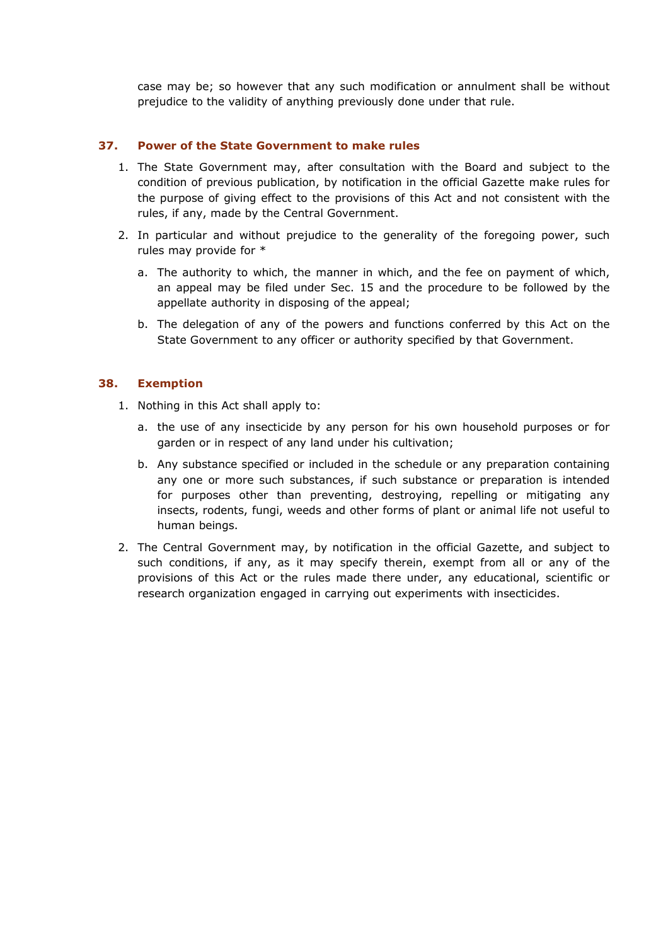case may be; so however that any such modification or annulment shall be without prejudice to the validity of anything previously done under that rule.

## 37. Power of the State Government to make rules

- 1. The State Government may, after consultation with the Board and subject to the condition of previous publication, by notification in the official Gazette make rules for the purpose of giving effect to the provisions of this Act and not consistent with the rules, if any, made by the Central Government.
- 2. In particular and without prejudice to the generality of the foregoing power, such rules may provide for \*
	- a. The authority to which, the manner in which, and the fee on payment of which, an appeal may be filed under Sec. 15 and the procedure to be followed by the appellate authority in disposing of the appeal;
	- b. The delegation of any of the powers and functions conferred by this Act on the State Government to any officer or authority specified by that Government.

## 38. Exemption

- 1. Nothing in this Act shall apply to:
	- a. the use of any insecticide by any person for his own household purposes or for garden or in respect of any land under his cultivation;
	- b. Any substance specified or included in the schedule or any preparation containing any one or more such substances, if such substance or preparation is intended for purposes other than preventing, destroying, repelling or mitigating any insects, rodents, fungi, weeds and other forms of plant or animal life not useful to human beings.
- 2. The Central Government may, by notification in the official Gazette, and subject to such conditions, if any, as it may specify therein, exempt from all or any of the provisions of this Act or the rules made there under, any educational, scientific or research organization engaged in carrying out experiments with insecticides.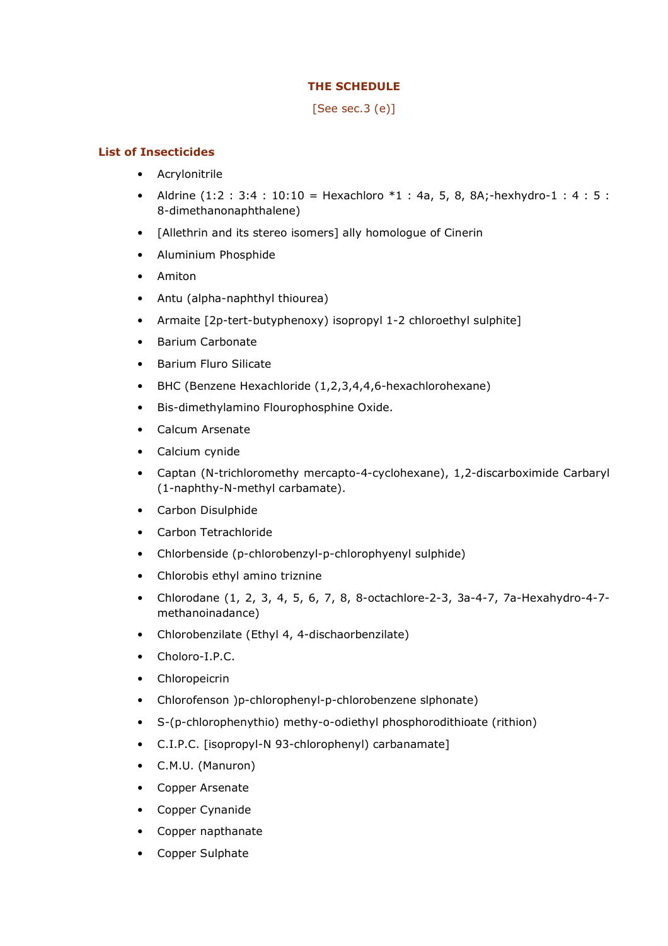# THE SCHEDULE

## [See sec.3  $(e)$ ]

## List of Insecticides

- Acrylonitrile
- Aldrine  $(1:2:3:4:10:10 =$  Hexachloro  $*1:4a, 5, 8, 8A$ ;-hexhydro-1 : 4 : 5 : 8-dimethanonaphthalene)
- [Allethrin and its stereo isomers] ally homologue of Cinerin
- Aluminium Phosphide
- Amiton
- Antu (alpha-naphthyl thiourea)
- Armaite [2p-tert-butyphenoxy) isopropyl 1-2 chloroethyl sulphite]
- Barium Carbonate
- Barium Fluro Silicate
- BHC (Benzene Hexachloride (1,2,3,4,4,6-hexachlorohexane)
- Bis-dimethylamino Flourophosphine Oxide.
- Calcum Arsenate
- Calcium cynide
- Captan (N-trichloromethy mercapto-4-cyclohexane), 1,2-discarboximide Carbaryl (1-naphthy-N-methyl carbamate).
- Carbon Disulphide
- Carbon Tetrachloride
- Chlorbenside (p-chlorobenzyl-p-chlorophyenyl sulphide)
- Chlorobis ethyl amino triznine
- Chlorodane (1, 2, 3, 4, 5, 6, 7, 8, 8-octachlore-2-3, 3a-4-7, 7a-Hexahydro-4-7 methanoinadance)
- Chlorobenzilate (Ethyl 4, 4-dischaorbenzilate)
- Choloro-I.P.C.
- Chloropeicrin
- Chlorofenson )p-chlorophenyl-p-chlorobenzene slphonate)
- S-(p-chlorophenythio) methy-o-odiethyl phosphorodithioate (rithion)
- C.I.P.C. [isopropyl-N 93-chlorophenyl) carbanamate]
- C.M.U. (Manuron)
- Copper Arsenate
- Copper Cynanide
- Copper napthanate
- Copper Sulphate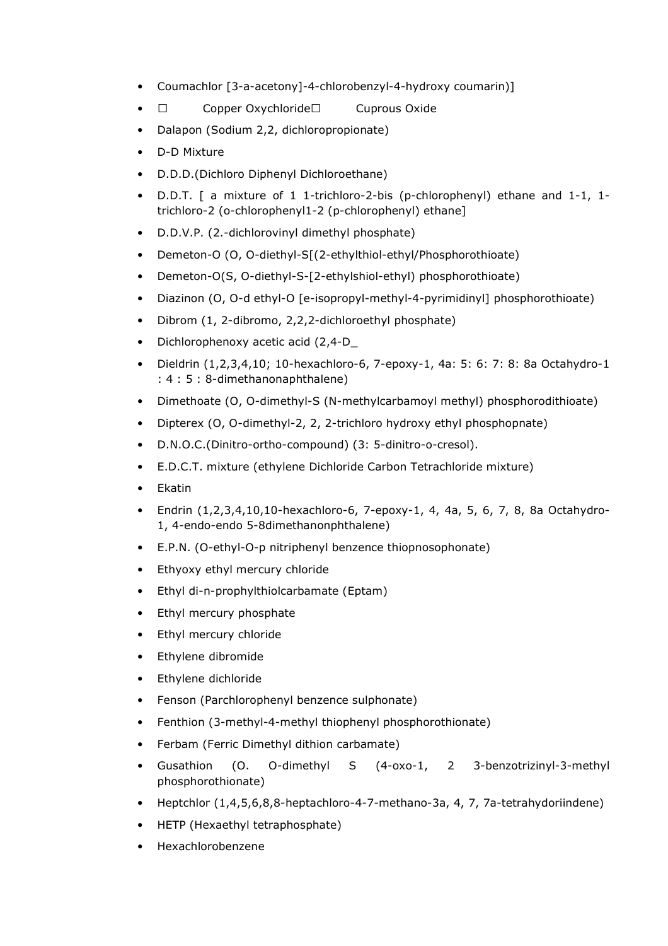- Coumachlor [3-a-acetony]-4-chlorobenzyl-4-hydroxy coumarin)]
- H Copper OxychlorideH Cuprous Oxide
- Dalapon (Sodium 2,2, dichloropropionate)
- D-D Mixture
- D.D.D.(Dichloro Diphenyl Dichloroethane)
- D.D.T. [ a mixture of 1 1-trichloro-2-bis (p-chlorophenyl) ethane and 1-1, 1 trichloro-2 (o-chlorophenyl1-2 (p-chlorophenyl) ethane]
- D.D.V.P. (2.-dichlorovinyl dimethyl phosphate)
- Demeton-O (O, O-diethyl-SI(2-ethylthiol-ethyl/Phosphorothioate)
- Demeton-O(S, O-diethyl-S-[2-ethylshiol-ethyl) phosphorothioate)
- Diazinon (O, O-d ethyl-O [e-isopropyl-methyl-4-pyrimidinyl] phosphorothioate)
- Dibrom (1, 2-dibromo, 2,2,2-dichloroethyl phosphate)
- Dichlorophenoxy acetic acid (2,4-D\_
- Dieldrin (1,2,3,4,10; 10-hexachloro-6, 7-epoxy-1, 4a: 5: 6: 7: 8: 8a Octahydro-1 : 4 : 5 : 8-dimethanonaphthalene)
- Dimethoate (O, O-dimethyl-S (N-methylcarbamoyl methyl) phosphorodithioate)
- Dipterex (O, O-dimethyl-2, 2, 2-trichloro hydroxy ethyl phosphopnate)
- D.N.O.C.(Dinitro-ortho-compound) (3: 5-dinitro-o-cresol).
- E.D.C.T. mixture (ethylene Dichloride Carbon Tetrachloride mixture)
- Ekatin
- Endrin  $(1, 2, 3, 4, 10, 10$ -hexachloro-6, 7-epoxy-1, 4, 4a, 5, 6, 7, 8, 8a Octahydro-1, 4-endo-endo 5-8dimethanonphthalene)
- E.P.N. (O-ethyl-O-p nitriphenyl benzence thiopnosophonate)
- Ethyoxy ethyl mercury chloride
- Ethyl di-n-prophylthiolcarbamate (Eptam)
- Ethyl mercury phosphate
- Ethyl mercury chloride
- Ethylene dibromide
- Ethylene dichloride
- Fenson (Parchlorophenyl benzence sulphonate)
- Fenthion (3-methyl-4-methyl thiophenyl phosphorothionate)
- Ferbam (Ferric Dimethyl dithion carbamate)
- Gusathion (O. O-dimethyl S (4-oxo-1, 2 3-benzotrizinyl-3-methyl phosphorothionate)
- Heptchlor (1,4,5,6,8,8-heptachloro-4-7-methano-3a, 4, 7, 7a-tetrahydoriindene)
- HETP (Hexaethyl tetraphosphate)
- Hexachlorobenzene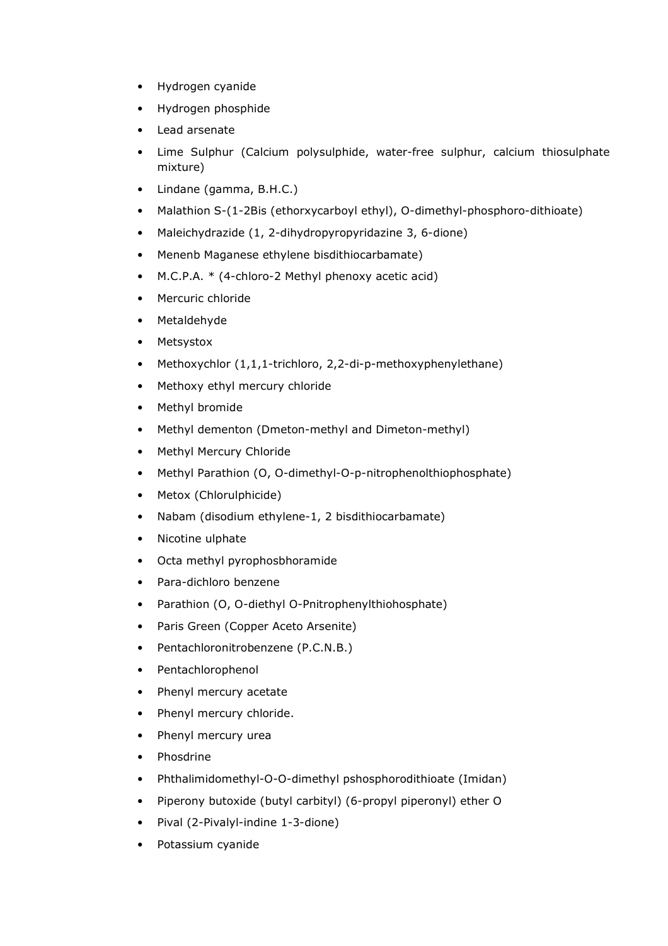- Hydrogen cyanide
- Hydrogen phosphide
- Lead arsenate
- Lime Sulphur (Calcium polysulphide, water-free sulphur, calcium thiosulphate mixture)
- Lindane (gamma, B.H.C.)
- Malathion S-(1-2Bis (ethorxycarboyl ethyl), O-dimethyl-phosphoro-dithioate)
- Maleichydrazide (1, 2-dihydropyropyridazine 3, 6-dione)
- Menenb Maganese ethylene bisdithiocarbamate)
- M.C.P.A. \* (4-chloro-2 Methyl phenoxy acetic acid)
- Mercuric chloride
- Metaldehyde
- Metsystox
- Methoxychlor (1,1,1-trichloro, 2,2-di-p-methoxyphenylethane)
- Methoxy ethyl mercury chloride
- Methyl bromide
- Methyl dementon (Dmeton-methyl and Dimeton-methyl)
- Methyl Mercury Chloride
- Methyl Parathion (O, O-dimethyl-O-p-nitrophenolthiophosphate)
- Metox (Chlorulphicide)
- Nabam (disodium ethylene-1, 2 bisdithiocarbamate)
- Nicotine ulphate
- Octa methyl pyrophosbhoramide
- Para-dichloro benzene
- Parathion (O, O-diethyl O-Pnitrophenylthiohosphate)
- Paris Green (Copper Aceto Arsenite)
- Pentachloronitrobenzene (P.C.N.B.)
- Pentachlorophenol
- Phenyl mercury acetate
- Phenyl mercury chloride.
- Phenyl mercury urea
- Phosdrine
- Phthalimidomethyl-O-O-dimethyl pshosphorodithioate (Imidan)
- Piperony butoxide (butyl carbityl) (6-propyl piperonyl) ether O
- Pival (2-Pivalyl-indine 1-3-dione)
- Potassium cyanide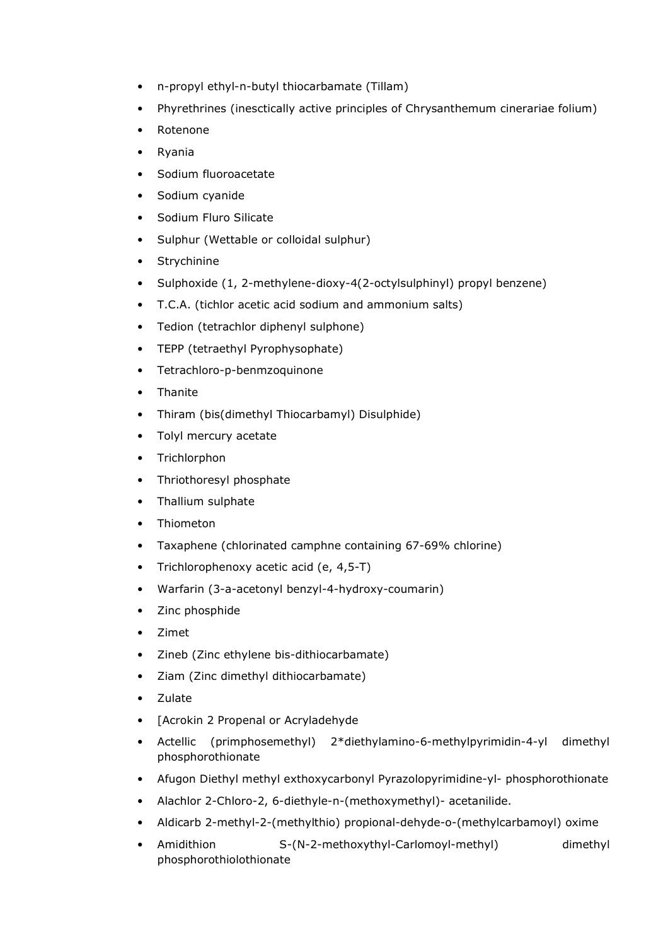- n-propyl ethyl-n-butyl thiocarbamate (Tillam)
- Phyrethrines (inesctically active principles of Chrysanthemum cinerariae folium)
- Rotenone
- Ryania
- Sodium fluoroacetate
- Sodium cyanide
- Sodium Fluro Silicate
- Sulphur (Wettable or colloidal sulphur)
- Strychinine
- Sulphoxide (1, 2-methylene-dioxy-4(2-octylsulphinyl) propyl benzene)
- T.C.A. (tichlor acetic acid sodium and ammonium salts)
- Tedion (tetrachlor diphenyl sulphone)
- TEPP (tetraethyl Pyrophysophate)
- Tetrachloro-p-benmzoquinone
- Thanite
- Thiram (bis(dimethyl Thiocarbamyl) Disulphide)
- Tolyl mercury acetate
- Trichlorphon
- Thriothoresyl phosphate
- Thallium sulphate
- Thiometon
- Taxaphene (chlorinated camphne containing 67-69% chlorine)
- Trichlorophenoxy acetic acid (e, 4,5-T)
- Warfarin (3-a-acetonyl benzyl-4-hydroxy-coumarin)
- Zinc phosphide
- Zimet
- Zineb (Zinc ethylene bis-dithiocarbamate)
- Ziam (Zinc dimethyl dithiocarbamate)
- Zulate
- [Acrokin 2 Propenal or Acryladehyde
- Actellic (primphosemethyl) 2\*diethylamino-6-methylpyrimidin-4-yl dimethyl phosphorothionate
- Afugon Diethyl methyl exthoxycarbonyl Pyrazolopyrimidine-yl- phosphorothionate
- Alachlor 2-Chloro-2, 6-diethyle-n-(methoxymethyl)- acetanilide.
- Aldicarb 2-methyl-2-(methylthio) propional-dehyde-o-(methylcarbamoyl) oxime
- Amidithion S-(N-2-methoxythyl-Carlomoyl-methyl) dimethyl phosphorothiolothionate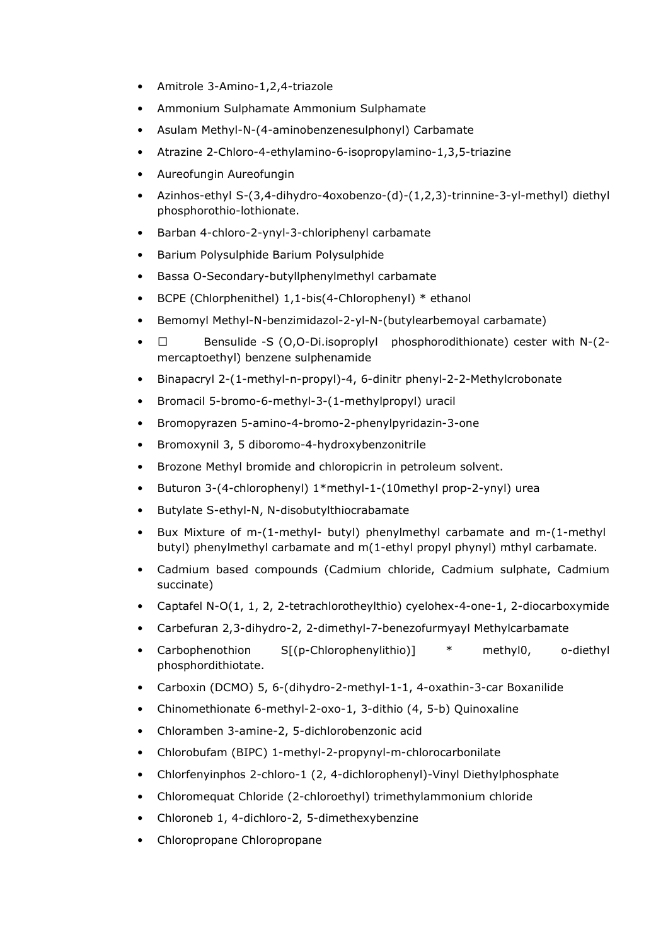- Amitrole 3-Amino-1,2,4-triazole
- Ammonium Sulphamate Ammonium Sulphamate
- Asulam Methyl-N-(4-aminobenzenesulphonyl) Carbamate
- Atrazine 2-Chloro-4-ethylamino-6-isopropylamino-1,3,5-triazine
- Aureofungin Aureofungin
- Azinhos-ethyl S-(3,4-dihydro-4oxobenzo-(d)-(1,2,3)-trinnine-3-yl-methyl) diethyl phosphorothio-lothionate.
- Barban 4-chloro-2-ynyl-3-chloriphenyl carbamate
- Barium Polysulphide Barium Polysulphide
- Bassa O-Secondary-butyllphenylmethyl carbamate
- BCPE (Chlorphenithel) 1,1-bis(4-Chlorophenyl) \* ethanol
- Bemomyl Methyl-N-benzimidazol-2-yl-N-(butylearbemoyal carbamate)
- H Bensulide -S (O,O-Di.isoproplyl phosphorodithionate) cester with N-(2 mercaptoethyl) benzene sulphenamide
- Binapacryl 2-(1-methyl-n-propyl)-4, 6-dinitr phenyl-2-2-Methylcrobonate
- Bromacil 5-bromo-6-methyl-3-(1-methylpropyl) uracil
- Bromopyrazen 5-amino-4-bromo-2-phenylpyridazin-3-one
- Bromoxynil 3, 5 diboromo-4-hydroxybenzonitrile
- Brozone Methyl bromide and chloropicrin in petroleum solvent.
- Buturon 3-(4-chlorophenyl) 1\*methyl-1-(10methyl prop-2-ynyl) urea
- Butylate S-ethyl-N, N-disobutylthiocrabamate
- Bux Mixture of m-(1-methyl- butyl) phenylmethyl carbamate and m-(1-methyl butyl) phenylmethyl carbamate and m(1-ethyl propyl phynyl) mthyl carbamate.
- Cadmium based compounds (Cadmium chloride, Cadmium sulphate, Cadmium succinate)
- Captafel N-O(1, 1, 2, 2-tetrachlorotheylthio) cyelohex-4-one-1, 2-diocarboxymide
- Carbefuran 2,3-dihydro-2, 2-dimethyl-7-benezofurmyayl Methylcarbamate
- Carbophenothion S[(p-Chlorophenylithio)] \* methyl0, o-diethyl phosphordithiotate.
- Carboxin (DCMO) 5, 6-(dihydro-2-methyl-1-1, 4-oxathin-3-car Boxanilide
- Chinomethionate 6-methyl-2-oxo-1, 3-dithio (4, 5-b) Quinoxaline
- Chloramben 3-amine-2, 5-dichlorobenzonic acid
- Chlorobufam (BIPC) 1-methyl-2-propynyl-m-chlorocarbonilate
- Chlorfenyinphos 2-chloro-1 (2, 4-dichlorophenyl)-Vinyl Diethylphosphate
- Chloromequat Chloride (2-chloroethyl) trimethylammonium chloride
- Chloroneb 1, 4-dichloro-2, 5-dimethexybenzine
- Chloropropane Chloropropane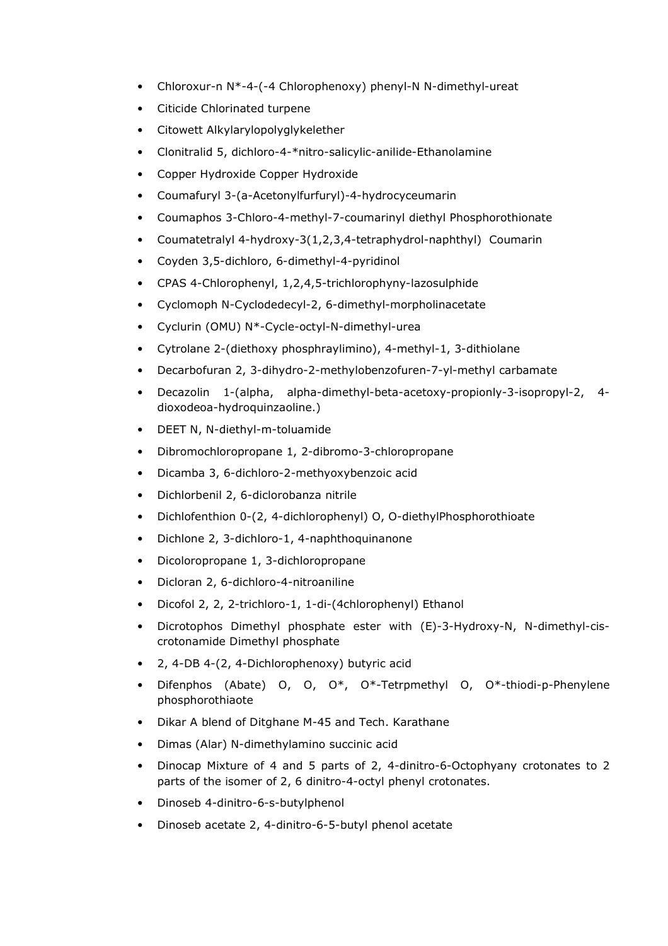- Chloroxur-n N\*-4-(-4 Chlorophenoxy) phenyl-N N-dimethyl-ureat
- Citicide Chlorinated turpene
- Citowett Alkylarylopolyglykelether
- Clonitralid 5, dichloro-4-\*nitro-salicylic-anilide-Ethanolamine
- Copper Hydroxide Copper Hydroxide
- Coumafuryl 3-(a-Acetonylfurfuryl)-4-hydrocyceumarin
- Coumaphos 3-Chloro-4-methyl-7-coumarinyl diethyl Phosphorothionate
- Coumatetralyl 4-hydroxy-3(1,2,3,4-tetraphydrol-naphthyl) Coumarin
- Coyden 3,5-dichloro, 6-dimethyl-4-pyridinol
- CPAS 4-Chlorophenyl, 1,2,4,5-trichlorophyny-lazosulphide
- Cyclomoph N-Cyclodedecyl-2, 6-dimethyl-morpholinacetate
- Cyclurin (OMU) N\*-Cycle-octyl-N-dimethyl-urea
- Cytrolane 2-(diethoxy phosphraylimino), 4-methyl-1, 3-dithiolane
- Decarbofuran 2, 3-dihydro-2-methylobenzofuren-7-yl-methyl carbamate
- Decazolin 1-(alpha, alpha-dimethyl-beta-acetoxy-propionly-3-isopropyl-2, 4 dioxodeoa-hydroquinzaoline.)
- DEET N, N-diethyl-m-toluamide
- Dibromochloropropane 1, 2-dibromo-3-chloropropane
- Dicamba 3, 6-dichloro-2-methyoxybenzoic acid
- Dichlorbenil 2, 6-diclorobanza nitrile
- Dichlofenthion 0-(2, 4-dichlorophenyl) O, O-diethylPhosphorothioate
- Dichlone 2, 3-dichloro-1, 4-naphthoquinanone
- Dicoloropropane 1, 3-dichloropropane
- Dicloran 2, 6-dichloro-4-nitroaniline
- Dicofol 2, 2, 2-trichloro-1, 1-di-(4chlorophenyl) Ethanol
- Dicrotophos Dimethyl phosphate ester with (E)-3-Hydroxy-N, N-dimethyl-ciscrotonamide Dimethyl phosphate
- 2, 4-DB 4-(2, 4-Dichlorophenoxy) butyric acid
- Difenphos (Abate) O, O, O\*, O\*-Tetrpmethyl O, O\*-thiodi-p-Phenylene phosphorothiaote
- Dikar A blend of Ditghane M-45 and Tech. Karathane
- Dimas (Alar) N-dimethylamino succinic acid
- Dinocap Mixture of 4 and 5 parts of 2, 4-dinitro-6-Octophyany crotonates to 2 parts of the isomer of 2, 6 dinitro-4-octyl phenyl crotonates.
- Dinoseb 4-dinitro-6-s-butylphenol
- Dinoseb acetate 2, 4-dinitro-6-5-butyl phenol acetate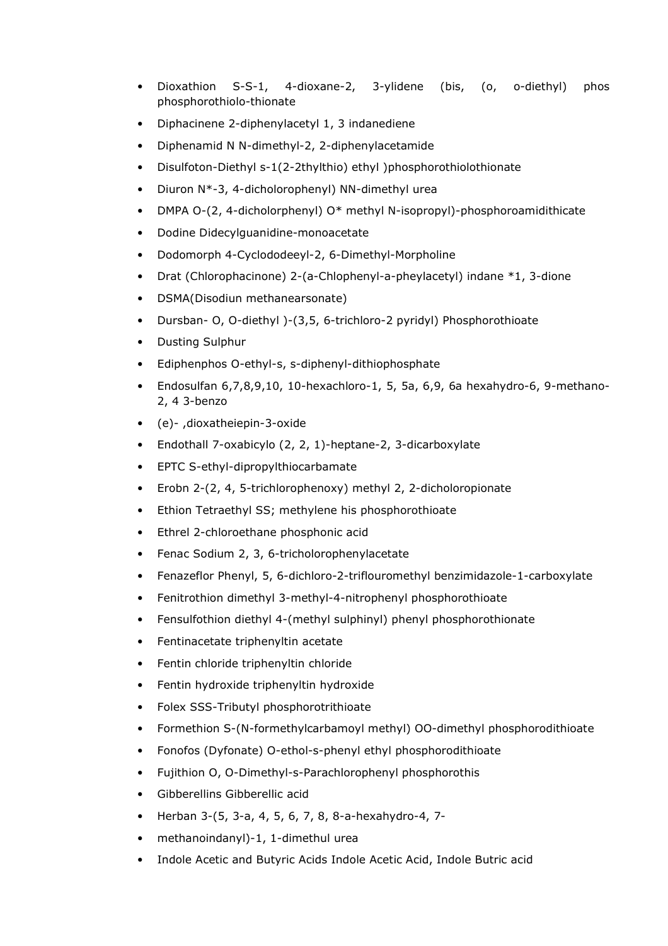- Dioxathion S-S-1, 4-dioxane-2, 3-ylidene (bis, (o, o-diethyl) phos phosphorothiolo-thionate
- Diphacinene 2-diphenylacetyl 1, 3 indanediene
- Diphenamid N N-dimethyl-2, 2-diphenylacetamide
- Disulfoton-Diethyl s-1(2-2thylthio) ethyl )phosphorothiolothionate
- Diuron N\*-3, 4-dicholorophenyl) NN-dimethyl urea
- DMPA O-(2, 4-dicholorphenyl) O\* methyl N-isopropyl)-phosphoroamidithicate
- Dodine Didecylguanidine-monoacetate
- Dodomorph 4-Cyclododeeyl-2, 6-Dimethyl-Morpholine
- Drat (Chlorophacinone) 2-(a-Chlophenyl-a-pheylacetyl) indane \*1, 3-dione
- DSMA(Disodiun methanearsonate)
- Dursban- O, O-diethyl )-(3,5, 6-trichloro-2 pyridyl) Phosphorothioate
- Dusting Sulphur
- Ediphenphos O-ethyl-s, s-diphenyl-dithiophosphate
- Endosulfan 6,7,8,9,10, 10-hexachloro-1, 5, 5a, 6,9, 6a hexahydro-6, 9-methano-2, 4 3-benzo
- (e)- ,dioxatheiepin-3-oxide
- Endothall 7-oxabicylo (2, 2, 1)-heptane-2, 3-dicarboxylate
- EPTC S-ethyl-dipropylthiocarbamate
- Erobn 2-(2, 4, 5-trichlorophenoxy) methyl 2, 2-dicholoropionate
- Ethion Tetraethyl SS; methylene his phosphorothioate
- Ethrel 2-chloroethane phosphonic acid
- Fenac Sodium 2, 3, 6-tricholorophenylacetate
- Fenazeflor Phenyl, 5, 6-dichloro-2-triflouromethyl benzimidazole-1-carboxylate
- Fenitrothion dimethyl 3-methyl-4-nitrophenyl phosphorothioate
- Fensulfothion diethyl 4-(methyl sulphinyl) phenyl phosphorothionate
- Fentinacetate triphenyltin acetate
- Fentin chloride triphenyltin chloride
- Fentin hydroxide triphenyltin hydroxide
- Folex SSS-Tributyl phosphorotrithioate
- Formethion S-(N-formethylcarbamoyl methyl) OO-dimethyl phosphorodithioate
- Fonofos (Dyfonate) O-ethol-s-phenyl ethyl phosphorodithioate
- Fujithion O, O-Dimethyl-s-Parachlorophenyl phosphorothis
- Gibberellins Gibberellic acid
- Herban 3-(5, 3-a, 4, 5, 6, 7, 8, 8-a-hexahydro-4, 7-
- methanoindanyl)-1, 1-dimethul urea
- Indole Acetic and Butyric Acids Indole Acetic Acid, Indole Butric acid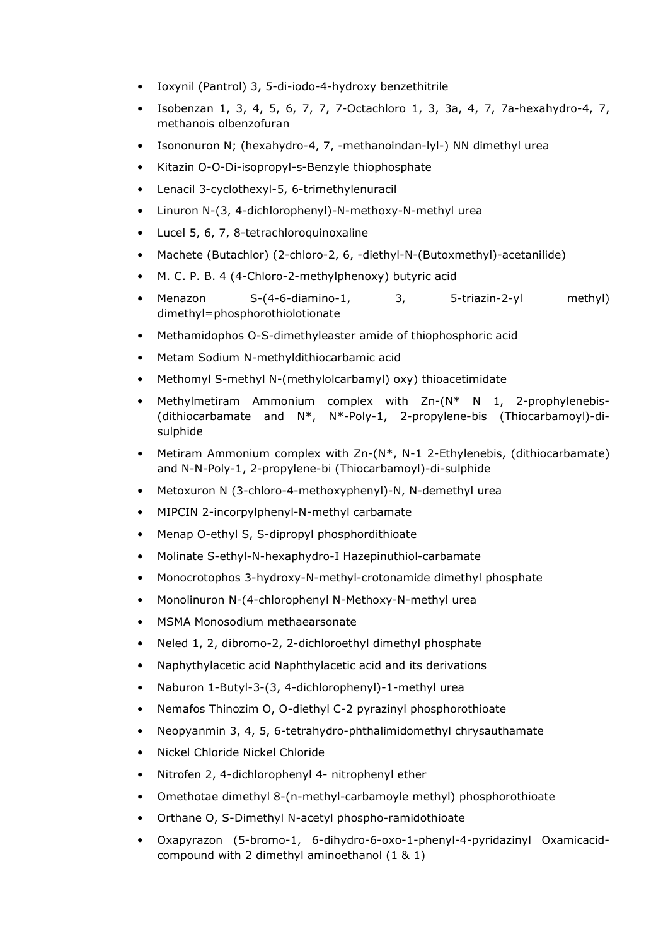- Ioxynil (Pantrol) 3, 5-di-iodo-4-hydroxy benzethitrile
- Isobenzan 1, 3, 4, 5, 6, 7, 7, 7-Octachloro 1, 3, 3a, 4, 7, 7a-hexahydro-4, 7, methanois olbenzofuran
- Isononuron N; (hexahydro-4, 7, -methanoindan-lyl-) NN dimethyl urea
- Kitazin O-O-Di-isopropyl-s-Benzyle thiophosphate
- Lenacil 3-cyclothexyl-5, 6-trimethylenuracil
- Linuron N-(3, 4-dichlorophenyl)-N-methoxy-N-methyl urea
- Lucel 5, 6, 7, 8-tetrachloroquinoxaline
- Machete (Butachlor) (2-chloro-2, 6, -diethyl-N-(Butoxmethyl)-acetanilide)
- M. C. P. B. 4 (4-Chloro-2-methylphenoxy) butyric acid
- Menazon S-(4-6-diamino-1, 3, 5-triazin-2-yl methyl) dimethyl=phosphorothiolotionate
- Methamidophos O-S-dimethyleaster amide of thiophosphoric acid
- Metam Sodium N-methyldithiocarbamic acid
- Methomyl S-methyl N-(methylolcarbamyl) oxy) thioacetimidate
- Methylmetiram Ammonium complex with Zn-(N\* N 1, 2-prophylenebis- (dithiocarbamate and N\*, N\*-Poly-1, 2-propylene-bis (Thiocarbamoyl)-disulphide
- Metiram Ammonium complex with  $Zn-(N^*)$ , N-1 2-Ethylenebis, (dithiocarbamate) and N-N-Poly-1, 2-propylene-bi (Thiocarbamoyl)-di-sulphide
- Metoxuron N (3-chloro-4-methoxyphenyl)-N, N-demethyl urea
- MIPCIN 2-incorpylphenyl-N-methyl carbamate
- Menap O-ethyl S, S-dipropyl phosphordithioate
- Molinate S-ethyl-N-hexaphydro-I Hazepinuthiol-carbamate
- Monocrotophos 3-hydroxy-N-methyl-crotonamide dimethyl phosphate
- Monolinuron N-(4-chlorophenyl N-Methoxy-N-methyl urea
- MSMA Monosodium methaearsonate
- Neled 1, 2, dibromo-2, 2-dichloroethyl dimethyl phosphate
- Naphythylacetic acid Naphthylacetic acid and its derivations
- Naburon 1-Butyl-3-(3, 4-dichlorophenyl)-1-methyl urea
- Nemafos Thinozim O, O-diethyl C-2 pyrazinyl phosphorothioate
- Neopyanmin 3, 4, 5, 6-tetrahydro-phthalimidomethyl chrysauthamate
- Nickel Chloride Nickel Chloride
- Nitrofen 2, 4-dichlorophenyl 4- nitrophenyl ether
- Omethotae dimethyl 8-(n-methyl-carbamoyle methyl) phosphorothioate
- Orthane O, S-Dimethyl N-acetyl phospho-ramidothioate
- Oxapyrazon (5-bromo-1, 6-dihydro-6-oxo-1-phenyl-4-pyridazinyl Oxamicacidcompound with 2 dimethyl aminoethanol (1 & 1)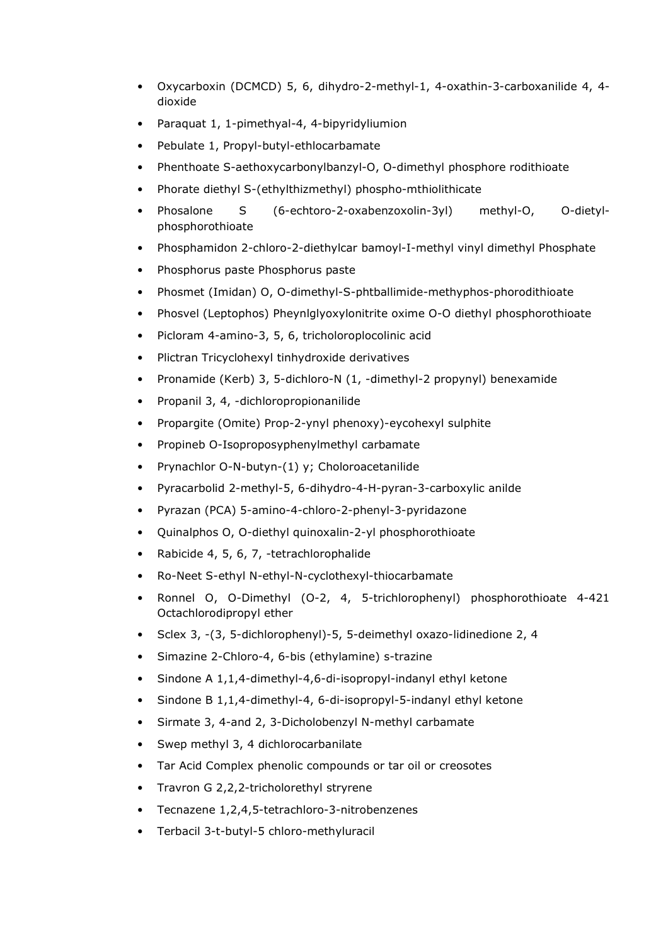- Oxycarboxin (DCMCD) 5, 6, dihydro-2-methyl-1, 4-oxathin-3-carboxanilide 4, 4 dioxide
- Paraquat 1, 1-pimethyal-4, 4-bipyridyliumion
- Pebulate 1, Propyl-butyl-ethlocarbamate
- Phenthoate S-aethoxycarbonylbanzyl-O, O-dimethyl phosphore rodithioate
- Phorate diethyl S-(ethylthizmethyl) phospho-mthiolithicate
- Phosalone S (6-echtoro-2-oxabenzoxolin-3yl) methyl-O, O-dietylphosphorothioate
- Phosphamidon 2-chloro-2-diethylcar bamoyl-I-methyl vinyl dimethyl Phosphate
- Phosphorus paste Phosphorus paste
- Phosmet (Imidan) O, O-dimethyl-S-phtballimide-methyphos-phorodithioate
- Phosvel (Leptophos) Pheynlglyoxylonitrite oxime O-O diethyl phosphorothioate
- Picloram 4-amino-3, 5, 6, tricholoroplocolinic acid
- Plictran Tricyclohexyl tinhydroxide derivatives
- Pronamide (Kerb) 3, 5-dichloro-N (1, -dimethyl-2 propynyl) benexamide
- Propanil 3, 4, -dichloropropionanilide
- Propargite (Omite) Prop-2-ynyl phenoxy)-eycohexyl sulphite
- Propineb O-Isoproposyphenylmethyl carbamate
- Prynachlor O-N-butyn-(1) y; Choloroacetanilide
- Pyracarbolid 2-methyl-5, 6-dihydro-4-H-pyran-3-carboxylic anilde
- Pyrazan (PCA) 5-amino-4-chloro-2-phenyl-3-pyridazone
- Quinalphos O, O-diethyl quinoxalin-2-yl phosphorothioate
- Rabicide 4, 5, 6, 7, -tetrachlorophalide
- Ro-Neet S-ethyl N-ethyl-N-cyclothexyl-thiocarbamate
- Ronnel O, O-Dimethyl (O-2, 4, 5-trichlorophenyl) phosphorothioate 4-421 Octachlorodipropyl ether
- Sclex 3, -(3, 5-dichlorophenyl)-5, 5-deimethyl oxazo-lidinedione 2, 4
- Simazine 2-Chloro-4, 6-bis (ethylamine) s-trazine
- Sindone A 1,1,4-dimethyl-4,6-di-isopropyl-indanyl ethyl ketone
- Sindone B 1,1,4-dimethyl-4, 6-di-isopropyl-5-indanyl ethyl ketone
- Sirmate 3, 4-and 2, 3-Dicholobenzyl N-methyl carbamate
- Swep methyl 3, 4 dichlorocarbanilate
- Tar Acid Complex phenolic compounds or tar oil or creosotes
- Travron G 2,2,2-tricholorethyl stryrene
- Tecnazene 1,2,4,5-tetrachloro-3-nitrobenzenes
- Terbacil 3-t-butyl-5 chloro-methyluracil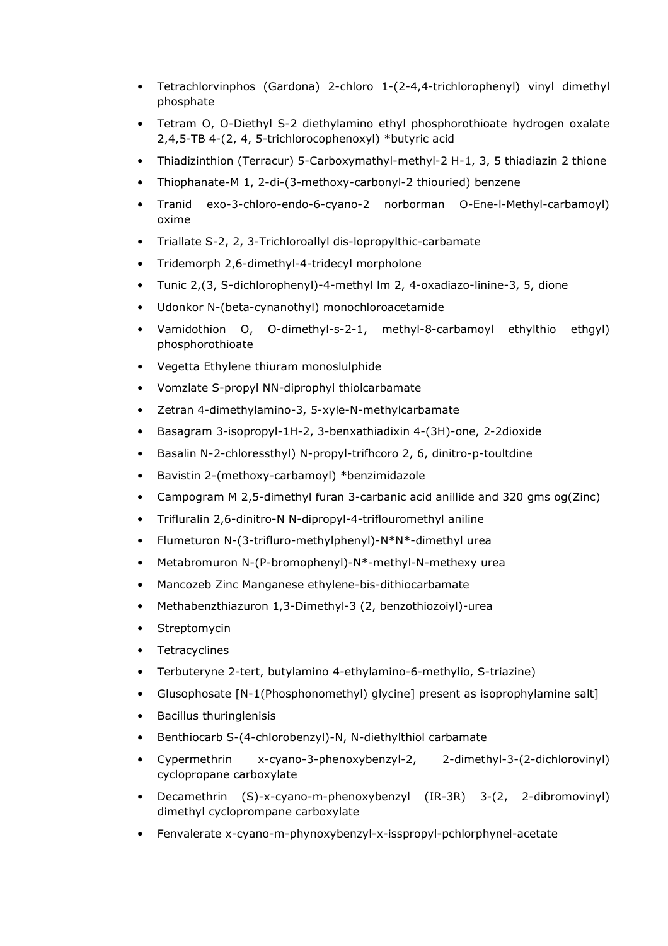- Tetrachlorvinphos (Gardona) 2-chloro 1-(2-4,4-trichlorophenyl) vinyl dimethyl phosphate
- Tetram O, O-Diethyl S-2 diethylamino ethyl phosphorothioate hydrogen oxalate 2,4,5-TB 4-(2, 4, 5-trichlorocophenoxyl) \*butyric acid
- Thiadizinthion (Terracur) 5-Carboxymathyl-methyl-2 H-1, 3, 5 thiadiazin 2 thione
- Thiophanate-M 1, 2-di-(3-methoxy-carbonyl-2 thiouried) benzene
- Tranid exo-3-chloro-endo-6-cyano-2 norborman O-Ene-l-Methyl-carbamoyl) oxime
- Triallate S-2, 2, 3-Trichloroallyl dis-lopropylthic-carbamate
- Tridemorph 2,6-dimethyl-4-tridecyl morpholone
- Tunic 2,(3, S-dichlorophenyl)-4-methyl lm 2, 4-oxadiazo-linine-3, 5, dione
- Udonkor N-(beta-cynanothyl) monochloroacetamide
- Vamidothion O, O-dimethyl-s-2-1, methyl-8-carbamoyl ethylthio ethgyl) phosphorothioate
- Vegetta Ethylene thiuram monoslulphide
- Vomzlate S-propyl NN-diprophyl thiolcarbamate
- Zetran 4-dimethylamino-3, 5-xyle-N-methylcarbamate
- Basagram 3-isopropyl-1H-2, 3-benxathiadixin 4-(3H)-one, 2-2dioxide
- Basalin N-2-chloressthyl) N-propyl-trifhcoro 2, 6, dinitro-p-toultdine
- Bavistin 2-(methoxy-carbamoyl) \*benzimidazole
- Campogram M 2,5-dimethyl furan 3-carbanic acid anillide and 320 gms og(Zinc)
- Trifluralin 2,6-dinitro-N N-dipropyl-4-triflouromethyl aniline
- Flumeturon N-(3-trifluro-methylphenyl)-N\*N\*-dimethyl urea
- Metabromuron N-(P-bromophenyl)-N\*-methyl-N-methexy urea
- Mancozeb Zinc Manganese ethylene-bis-dithiocarbamate
- Methabenzthiazuron 1,3-Dimethyl-3 (2, benzothiozoiyl)-urea
- Streptomycin
- Tetracyclines
- Terbuteryne 2-tert, butylamino 4-ethylamino-6-methylio, S-triazine)
- Glusophosate [N-1(Phosphonomethyl) glycine] present as isoprophylamine salt]
- Bacillus thuringlenisis
- Benthiocarb S-(4-chlorobenzyl)-N, N-diethylthiol carbamate
- Cypermethrin x-cyano-3-phenoxybenzyl-2, 2-dimethyl-3-(2-dichlorovinyl) cyclopropane carboxylate
- Decamethrin (S)-x-cyano-m-phenoxybenzyl (IR-3R) 3-(2, 2-dibromovinyl) dimethyl cycloprompane carboxylate
- Fenvalerate x-cyano-m-phynoxybenzyl-x-isspropyl-pchlorphynel-acetate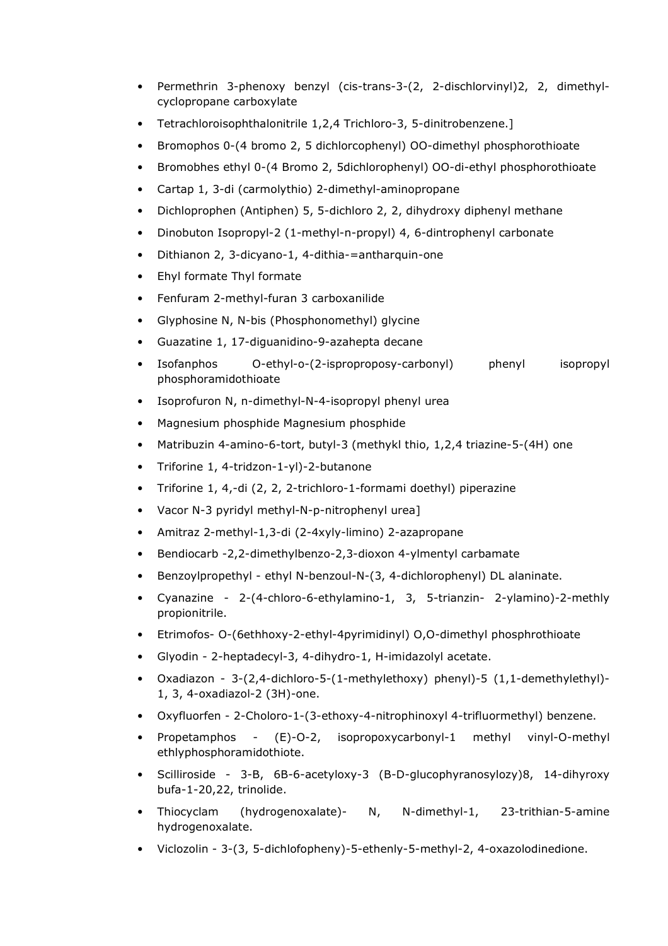- Permethrin 3-phenoxy benzyl (cis-trans-3-(2, 2-dischlorvinyl)2, 2, dimethylcyclopropane carboxylate
- Tetrachloroisophthalonitrile 1,2,4 Trichloro-3, 5-dinitrobenzene.]
- Bromophos 0-(4 bromo 2, 5 dichlorcophenyl) OO-dimethyl phosphorothioate
- Bromobhes ethyl 0-(4 Bromo 2, 5dichlorophenyl) OO-di-ethyl phosphorothioate
- Cartap 1, 3-di (carmolythio) 2-dimethyl-aminopropane
- Dichloprophen (Antiphen) 5, 5-dichloro 2, 2, dihydroxy diphenyl methane
- Dinobuton Isopropyl-2 (1-methyl-n-propyl) 4, 6-dintrophenyl carbonate
- Dithianon 2, 3-dicyano-1, 4-dithia-=antharquin-one
- Ehyl formate Thyl formate
- Fenfuram 2-methyl-furan 3 carboxanilide
- Glyphosine N, N-bis (Phosphonomethyl) glycine
- Guazatine 1, 17-diguanidino-9-azahepta decane
- Isofanphos O-ethyl-o-(2-isproproposy-carbonyl) phenyl isopropyl phosphoramidothioate
- Isoprofuron N, n-dimethyl-N-4-isopropyl phenyl urea
- Magnesium phosphide Magnesium phosphide
- Matribuzin 4-amino-6-tort, butyl-3 (methykl thio, 1,2,4 triazine-5-(4H) one
- Triforine 1, 4-tridzon-1-yl)-2-butanone
- Triforine 1, 4,-di (2, 2, 2-trichloro-1-formami doethyl) piperazine
- Vacor N-3 pyridyl methyl-N-p-nitrophenyl urea]
- Amitraz 2-methyl-1,3-di (2-4xyly-limino) 2-azapropane
- Bendiocarb -2,2-dimethylbenzo-2,3-dioxon 4-ylmentyl carbamate
- Benzoylpropethyl ethyl N-benzoul-N-(3, 4-dichlorophenyl) DL alaninate.
- Cyanazine 2-(4-chloro-6-ethylamino-1, 3, 5-trianzin- 2-ylamino)-2-methly propionitrile.
- Etrimofos- O-(6ethhoxy-2-ethyl-4pyrimidinyl) O,O-dimethyl phosphrothioate
- Glyodin 2-heptadecyl-3, 4-dihydro-1, H-imidazolyl acetate.
- Oxadiazon 3-(2,4-dichloro-5-(1-methylethoxy) phenyl)-5 (1,1-demethylethyl)- 1, 3, 4-oxadiazol-2 (3H)-one.
- Oxyfluorfen 2-Choloro-1-(3-ethoxy-4-nitrophinoxyl 4-trifluormethyl) benzene.
- Propetamphos (E)-O-2, isopropoxycarbonyl-1 methyl vinyl-O-methyl ethlyphosphoramidothiote.
- Scilliroside 3-B, 6B-6-acetyloxy-3 (B-D-glucophyranosylozy)8, 14-dihyroxy bufa-1-20,22, trinolide.
- Thiocyclam (hydrogenoxalate)- N, N-dimethyl-1, 23-trithian-5-amine hydrogenoxalate.
- Viclozolin 3-(3, 5-dichlofopheny)-5-ethenly-5-methyl-2, 4-oxazolodinedione.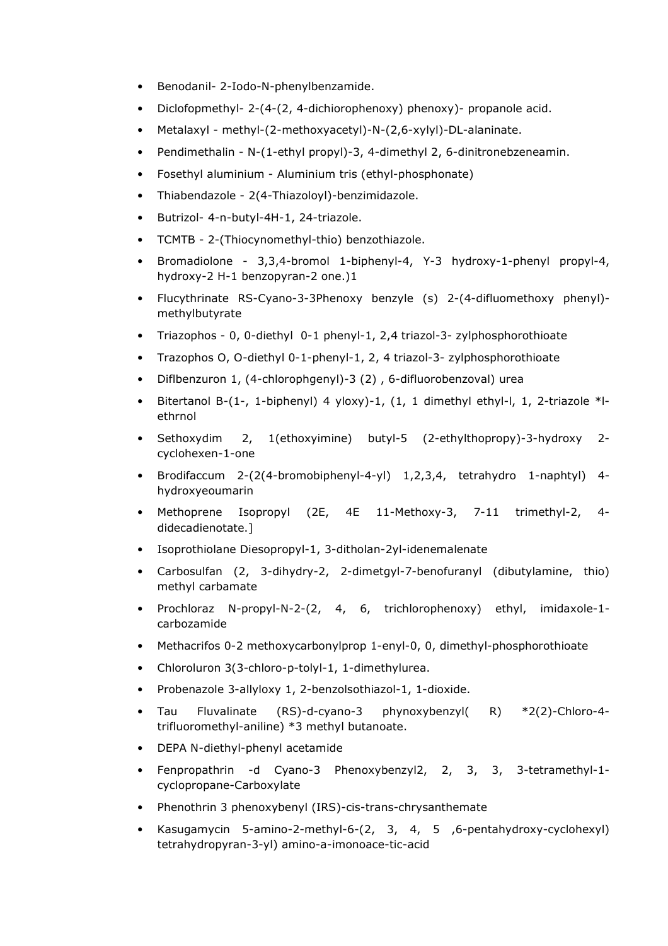- Benodanil- 2-Iodo-N-phenylbenzamide.
- Diclofopmethyl- 2-(4-(2, 4-dichiorophenoxy) phenoxy)- propanole acid.
- Metalaxyl methyl-(2-methoxyacetyl)-N-(2,6-xylyl)-DL-alaninate.
- Pendimethalin N-(1-ethyl propyl)-3, 4-dimethyl 2, 6-dinitronebzeneamin.
- Fosethyl aluminium Aluminium tris (ethyl-phosphonate)
- Thiabendazole 2(4-Thiazoloyl)-benzimidazole.
- Butrizol- 4-n-butyl-4H-1, 24-triazole.
- TCMTB 2-(Thiocynomethyl-thio) benzothiazole.
- Bromadiolone 3,3,4-bromol 1-biphenyl-4, Y-3 hydroxy-1-phenyl propyl-4, hydroxy-2 H-1 benzopyran-2 one.)1
- Flucythrinate RS-Cyano-3-3Phenoxy benzyle (s) 2-(4-difluomethoxy phenyl) methylbutyrate
- Triazophos 0, 0-diethyl 0-1 phenyl-1, 2,4 triazol-3- zylphosphorothioate
- Trazophos O, O-diethyl 0-1-phenyl-1, 2, 4 triazol-3- zylphosphorothioate
- Diflbenzuron 1, (4-chlorophgenyl)-3 (2) , 6-difluorobenzoval) urea
- Bitertanol B- $(1-$ , 1-biphenyl) 4 yloxy)-1,  $(1, 1$  dimethyl ethyl-l, 1, 2-triazole \*lethrnol
- Sethoxydim 2, 1(ethoxyimine) butyl-5 (2-ethylthopropy)-3-hydroxy 2 cyclohexen-1-one
- Brodifaccum 2-(2(4-bromobiphenyl-4-yl) 1,2,3,4, tetrahydro 1-naphtyl) 4 hydroxyeoumarin
- Methoprene Isopropyl (2E, 4E 11-Methoxy-3, 7-11 trimethyl-2, 4 didecadienotate.]
- Isoprothiolane Diesopropyl-1, 3-ditholan-2yl-idenemalenate
- Carbosulfan (2, 3-dihydry-2, 2-dimetgyl-7-benofuranyl (dibutylamine, thio) methyl carbamate
- Prochloraz N-propyl-N-2-(2, 4, 6, trichlorophenoxy) ethyl, imidaxole-1 carbozamide
- Methacrifos 0-2 methoxycarbonylprop 1-enyl-0, 0, dimethyl-phosphorothioate
- Chloroluron 3(3-chloro-p-tolyl-1, 1-dimethylurea.
- Probenazole 3-allyloxy 1, 2-benzolsothiazol-1, 1-dioxide.
- Tau Fluvalinate (RS)-d-cyano-3 phynoxybenzyl( R) \*2(2)-Chloro-4 trifluoromethyl-aniline) \*3 methyl butanoate.
- DEPA N-diethyl-phenyl acetamide
- Fenpropathrin -d Cyano-3 Phenoxybenzyl2, 2, 3, 3, 3-tetramethyl-1 cyclopropane-Carboxylate
- Phenothrin 3 phenoxybenyl (IRS)-cis-trans-chrysanthemate
- Kasugamycin 5-amino-2-methyl-6-(2, 3, 4, 5 ,6-pentahydroxy-cyclohexyl) tetrahydropyran-3-yl) amino-a-imonoace-tic-acid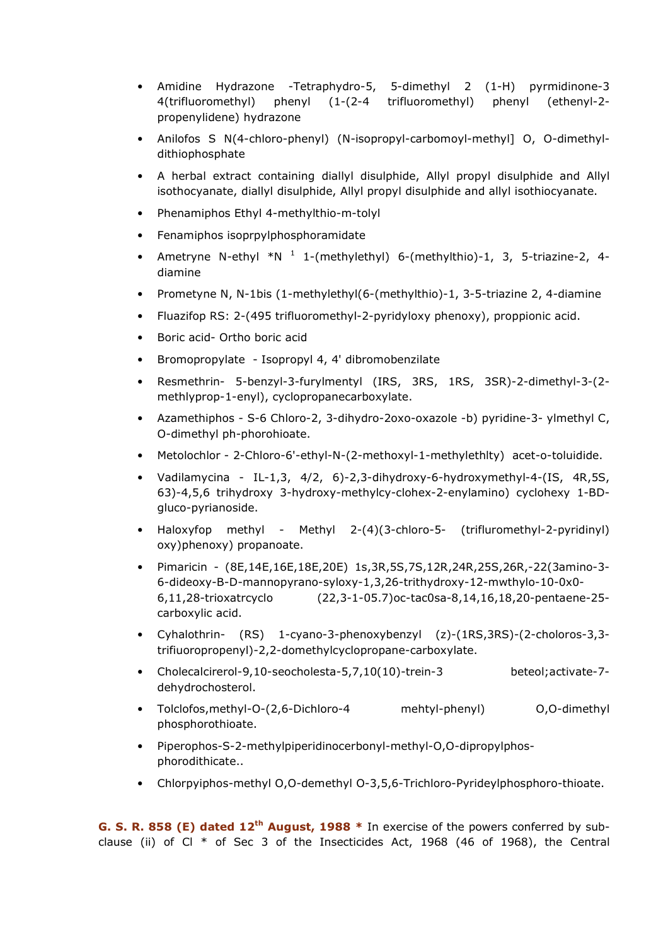- Amidine Hydrazone -Tetraphydro-5, 5-dimethyl 2 (1-H) pyrmidinone-3 4(trifluoromethyl) phenyl (1-(2-4 trifluoromethyl) phenyl (ethenyl-2 propenylidene) hydrazone
- Anilofos S N(4-chloro-phenyl) (N-isopropyl-carbomoyl-methyl] O, O-dimethyldithiophosphate
- A herbal extract containing diallyl disulphide, Allyl propyl disulphide and Allyl isothocyanate, diallyl disulphide, Allyl propyl disulphide and allyl isothiocyanate.
- Phenamiphos Ethyl 4-methylthio-m-tolyl
- Fenamiphos isoprpylphosphoramidate
- Ametryne N-ethyl  $*N^{-1}$  1-(methylethyl) 6-(methylthio)-1, 3, 5-triazine-2, 4diamine
- Prometyne N, N-1bis (1-methylethyl(6-(methylthio)-1, 3-5-triazine 2, 4-diamine
- Fluazifop RS: 2-(495 trifluoromethyl-2-pyridyloxy phenoxy), proppionic acid.
- Boric acid- Ortho boric acid
- Bromopropylate Isopropyl 4, 4' dibromobenzilate
- Resmethrin- 5-benzyl-3-furylmentyl (IRS, 3RS, 1RS, 3SR)-2-dimethyl-3-(2 methlyprop-1-enyl), cyclopropanecarboxylate.
- Azamethiphos S-6 Chloro-2, 3-dihydro-2oxo-oxazole -b) pyridine-3- ylmethyl C, O-dimethyl ph-phorohioate.
- Metolochlor 2-Chloro-6'-ethyl-N-(2-methoxyl-1-methylethlty) acet-o-toluidide.
- Vadilamycina IL-1,3, 4/2, 6)-2,3-dihydroxy-6-hydroxymethyl-4-(IS, 4R,5S, 63)-4,5,6 trihydroxy 3-hydroxy-methylcy-clohex-2-enylamino) cyclohexy 1-BDgluco-pyrianoside.
- Haloxyfop methyl Methyl 2-(4)(3-chloro-5- (trifluromethyl-2-pyridinyl) oxy)phenoxy) propanoate.
- Pimaricin (8E,14E,16E,18E,20E) 1s,3R,5S,7S,12R,24R,25S,26R,-22(3amino-3- 6-dideoxy-B-D-mannopyrano-syloxy-1,3,26-trithydroxy-12-mwthylo-10-0x0- 6,11,28-trioxatrcyclo (22,3-1-05.7)oc-tac0sa-8,14,16,18,20-pentaene-25 carboxylic acid.
- Cyhalothrin- (RS) 1-cyano-3-phenoxybenzyl (z)-(1RS,3RS)-(2-choloros-3,3 trifiuoropropenyl)-2,2-domethylcyclopropane-carboxylate.
- Cholecalcirerol-9,10-seocholesta-5,7,10(10)-trein-3 beteol;activate-7 dehydrochosterol.
- Tolclofos,methyl-O-(2,6-Dichloro-4 mehtyl-phenyl) O,O-dimethyl phosphorothioate.
- Piperophos-S-2-methylpiperidinocerbonyl-methyl-O,O-dipropylphosphorodithicate..
- Chlorpyiphos-methyl O,O-demethyl O-3,5,6-Trichloro-Pyrideylphosphoro-thioate.

G. S. R. 858 (E) dated  $12<sup>th</sup>$  August, 1988  $*$  In exercise of the powers conferred by subclause (ii) of Cl  $*$  of Sec 3 of the Insecticides Act, 1968 (46 of 1968), the Central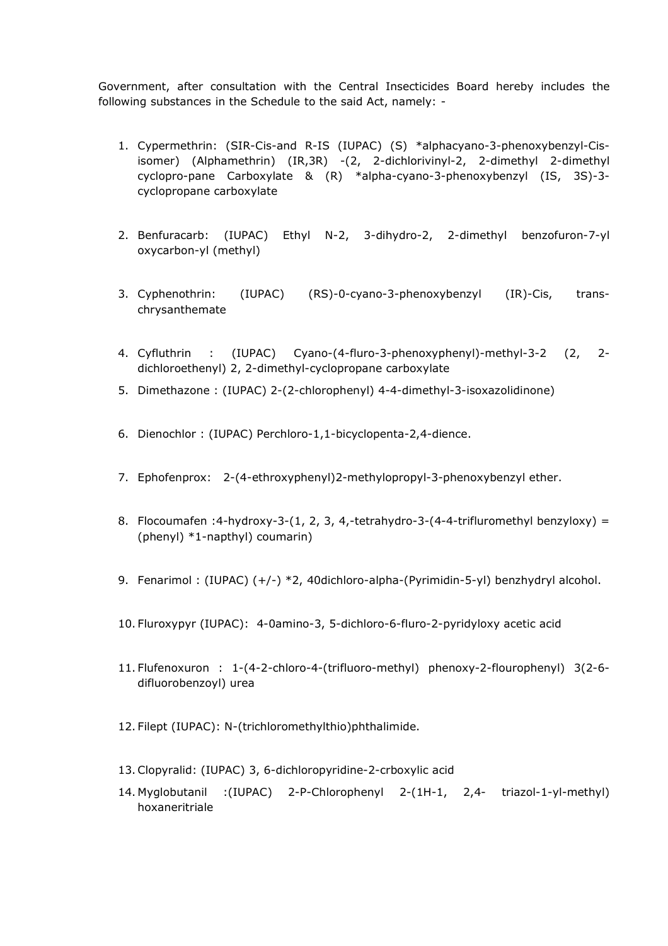Government, after consultation with the Central Insecticides Board hereby includes the following substances in the Schedule to the said Act, namely: -

- 1. Cypermethrin: (SIR-Cis-and R-IS (IUPAC) (S) \*alphacyano-3-phenoxybenzyl-Cisisomer) (Alphamethrin) (IR,3R) -(2, 2-dichlorivinyl-2, 2-dimethyl 2-dimethyl cyclopro-pane Carboxylate & (R) \*alpha-cyano-3-phenoxybenzyl (IS, 3S)-3 cyclopropane carboxylate
- 2. Benfuracarb: (IUPAC) Ethyl N-2, 3-dihydro-2, 2-dimethyl benzofuron-7-yl oxycarbon-yl (methyl)
- 3. Cyphenothrin: (IUPAC) (RS)-0-cyano-3-phenoxybenzyl (IR)-Cis, transchrysanthemate
- 4. Cyfluthrin : (IUPAC) Cyano-(4-fluro-3-phenoxyphenyl)-methyl-3-2 (2, 2 dichloroethenyl) 2, 2-dimethyl-cyclopropane carboxylate
- 5. Dimethazone : (IUPAC) 2-(2-chlorophenyl) 4-4-dimethyl-3-isoxazolidinone)
- 6. Dienochlor : (IUPAC) Perchloro-1,1-bicyclopenta-2,4-dience.
- 7. Ephofenprox: 2-(4-ethroxyphenyl)2-methylopropyl-3-phenoxybenzyl ether.
- 8. Flocoumafen : 4-hydroxy-3-(1, 2, 3, 4,-tetrahydro-3-(4-4-trifluromethyl benzyloxy) = (phenyl) \*1-napthyl) coumarin)
- 9. Fenarimol : (IUPAC) (+/-) \*2, 40dichloro-alpha-(Pyrimidin-5-yl) benzhydryl alcohol.
- 10. Fluroxypyr (IUPAC): 4-0amino-3, 5-dichloro-6-fluro-2-pyridyloxy acetic acid
- 11. Flufenoxuron : 1-(4-2-chloro-4-(trifluoro-methyl) phenoxy-2-flourophenyl) 3(2-6 difluorobenzoyl) urea
- 12. Filept (IUPAC): N-(trichloromethylthio)phthalimide.
- 13. Clopyralid: (IUPAC) 3, 6-dichloropyridine-2-crboxylic acid
- 14. Myglobutanil :(IUPAC) 2-P-Chlorophenyl 2-(1H-1, 2,4- triazol-1-yl-methyl) hoxaneritriale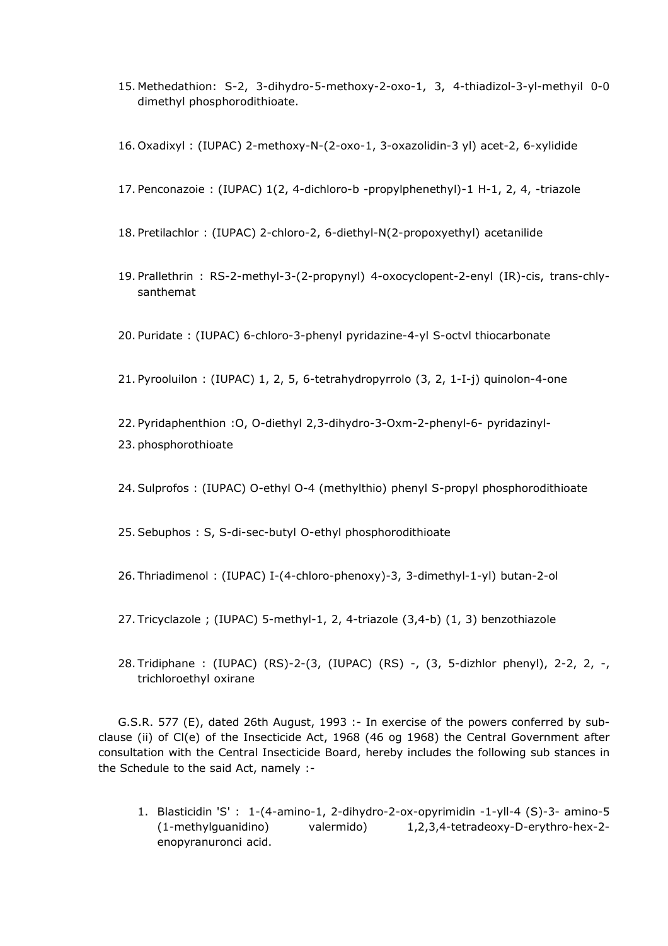- 15. Methedathion: S-2, 3-dihydro-5-methoxy-2-oxo-1, 3, 4-thiadizol-3-yl-methyil 0-0 dimethyl phosphorodithioate.
- 16. Oxadixyl : (IUPAC) 2-methoxy-N-(2-oxo-1, 3-oxazolidin-3 yl) acet-2, 6-xylidide
- 17. Penconazoie : (IUPAC) 1(2, 4-dichloro-b -propylphenethyl)-1 H-1, 2, 4, -triazole
- 18. Pretilachlor : (IUPAC) 2-chloro-2, 6-diethyl-N(2-propoxyethyl) acetanilide
- 19. Prallethrin : RS-2-methyl-3-(2-propynyl) 4-oxocyclopent-2-enyl (IR)-cis, trans-chlysanthemat
- 20. Puridate : (IUPAC) 6-chloro-3-phenyl pyridazine-4-yl S-octvl thiocarbonate
- 21. Pyrooluilon : (IUPAC) 1, 2, 5, 6-tetrahydropyrrolo (3, 2, 1-I-j) quinolon-4-one
- 22. Pyridaphenthion :O, O-diethyl 2,3-dihydro-3-Oxm-2-phenyl-6- pyridazinyl-23. phosphorothioate
- 24. Sulprofos : (IUPAC) O-ethyl O-4 (methylthio) phenyl S-propyl phosphorodithioate
- 25. Sebuphos : S, S-di-sec-butyl O-ethyl phosphorodithioate
- 26. Thriadimenol : (IUPAC) I-(4-chloro-phenoxy)-3, 3-dimethyl-1-yl) butan-2-ol
- 27. Tricyclazole ; (IUPAC) 5-methyl-1, 2, 4-triazole (3,4-b) (1, 3) benzothiazole
- 28. Tridiphane : (IUPAC) (RS)-2-(3, (IUPAC) (RS) -, (3, 5-dizhlor phenyl), 2-2, 2, -, trichloroethyl oxirane

G.S.R. 577 (E), dated 26th August, 1993 :- In exercise of the powers conferred by subclause (ii) of Cl(e) of the Insecticide Act, 1968 (46 og 1968) the Central Government after consultation with the Central Insecticide Board, hereby includes the following sub stances in the Schedule to the said Act, namely :-

1. Blasticidin 'S' : 1-(4-amino-1, 2-dihydro-2-ox-opyrimidin -1-yll-4 (S)-3- amino-5 (1-methylguanidino) valermido) 1,2,3,4-tetradeoxy-D-erythro-hex-2 enopyranuronci acid.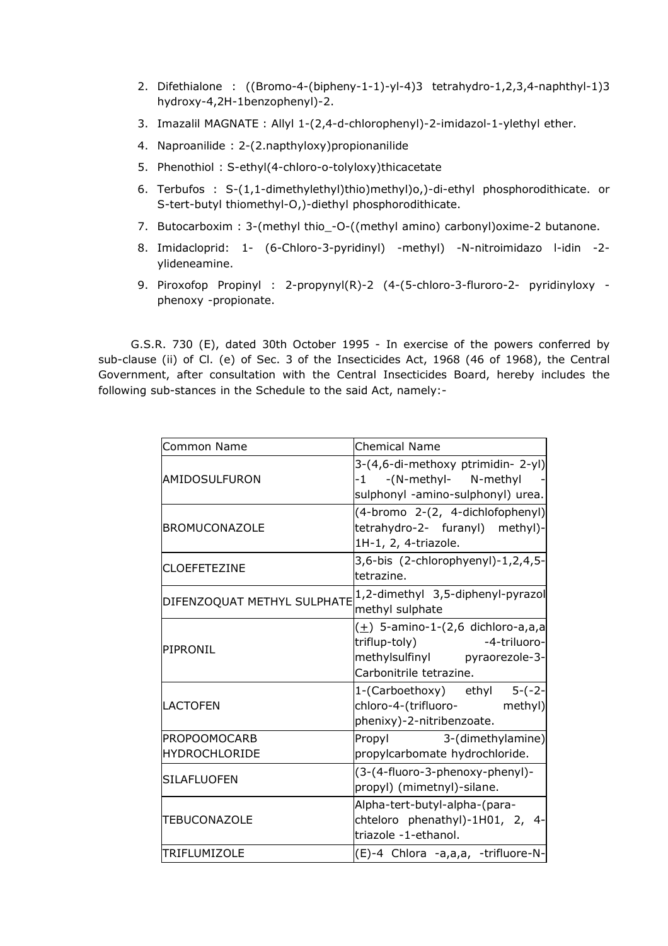- 2. Difethialone : ((Bromo-4-(bipheny-1-1)-yl-4)3 tetrahydro-1,2,3,4-naphthyl-1)3 hydroxy-4,2H-1benzophenyl)-2.
- 3. Imazalil MAGNATE : Allyl 1-(2,4-d-chlorophenyl)-2-imidazol-1-ylethyl ether.
- 4. Naproanilide : 2-(2.napthyloxy)propionanilide
- 5. Phenothiol : S-ethyl(4-chloro-o-tolyloxy)thicacetate
- 6. Terbufos : S-(1,1-dimethylethyl)thio)methyl)o,)-di-ethyl phosphorodithicate. or S-tert-butyl thiomethyl-O,)-diethyl phosphorodithicate.
- 7. Butocarboxim : 3-(methyl thio\_-O-((methyl amino) carbonyl)oxime-2 butanone.
- 8. Imidacloprid: 1- (6-Chloro-3-pyridinyl) -methyl) -N-nitroimidazo l-idin -2ylideneamine.
- 9. Piroxofop Propinyl : 2-propynyl(R)-2 (4-(5-chloro-3-fluroro-2- pyridinyloxy phenoxy -propionate.

 G.S.R. 730 (E), dated 30th October 1995 - In exercise of the powers conferred by sub-clause (ii) of Cl. (e) of Sec. 3 of the Insecticides Act, 1968 (46 of 1968), the Central Government, after consultation with the Central Insecticides Board, hereby includes the following sub-stances in the Schedule to the said Act, namely:-

| <b>Common Name</b>                          | <b>Chemical Name</b>                                                                                                               |
|---------------------------------------------|------------------------------------------------------------------------------------------------------------------------------------|
| AMIDOSULFURON                               | 3-(4,6-di-methoxy ptrimidin- 2-yl)<br>-1 -(N-methyl- N-methyl<br>sulphonyl -amino-sulphonyl) urea.                                 |
| <b>BROMUCONAZOLE</b>                        | (4-bromo 2-(2, 4-dichlofophenyl)<br>tetrahydro-2- furanyl) methyl)-<br>1H-1, 2, 4-triazole.                                        |
| <b>CLOEFETEZINE</b>                         | 3,6-bis (2-chlorophyenyl)-1,2,4,5-<br>tetrazine.                                                                                   |
| DIFENZOQUAT METHYL SULPHATE                 | 1,2-dimethyl 3,5-diphenyl-pyrazol<br>methyl sulphate                                                                               |
| PIPRONIL                                    | $(\pm)$ 5-amino-1-(2,6 dichloro-a,a,a<br>-4-triluoro-<br>triflup-toly)<br>methylsulfinyl pyraorezole-3-<br>Carbonitrile tetrazine. |
| ILACTOFEN                                   | 1-(Carboethoxy) ethyl 5-(-2-<br>chloro-4-(trifluoro- methyl)<br>phenixy)-2-nitribenzoate.                                          |
| <b>PROPOOMOCARB</b><br><b>HYDROCHLORIDE</b> | Propyl 3-(dimethylamine)<br>propylcarbomate hydrochloride.                                                                         |
| SILAFLUOFEN                                 | (3-(4-fluoro-3-phenoxy-phenyl)-<br>propyl) (mimetnyl)-silane.                                                                      |
| <b>TEBUCONAZOLE</b>                         | Alpha-tert-butyl-alpha-(para-<br>chteloro phenathyl)-1H01, 2, 4-<br>triazole -1-ethanol.                                           |
| <b>TRIFLUMIZOLE</b>                         | (E)-4 Chlora -a,a,a, -trifluore-N-                                                                                                 |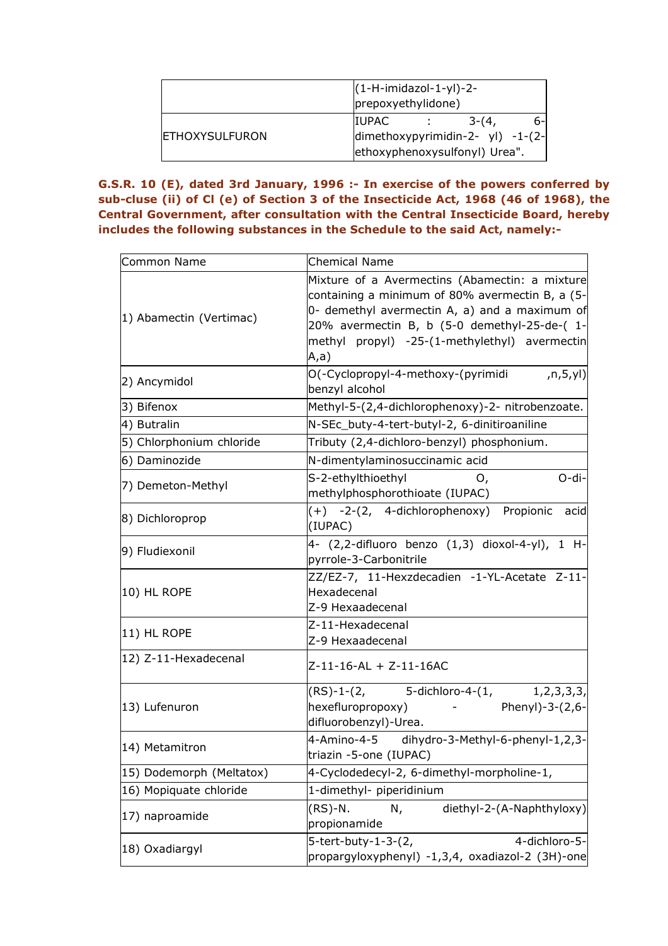|                       | $(1-H\text{-}$ imidazol-1-yl)-2-<br>prepoxyethylidone)                            |         |     |
|-----------------------|-----------------------------------------------------------------------------------|---------|-----|
| <b>ETHOXYSULFURON</b> | <b>IUPAC</b><br>dimethoxypyrimidin-2- yl) -1-(2-<br>ethoxyphenoxysulfonyl) Urea". | $3-(4)$ | 6-l |

G.S.R. 10 (E), dated 3rd January, 1996 :- In exercise of the powers conferred by sub-cluse (ii) of Cl (e) of Section 3 of the Insecticide Act, 1968 (46 of 1968), the Central Government, after consultation with the Central Insecticide Board, hereby includes the following substances in the Schedule to the said Act, namely:-

| Common Name              | <b>Chemical Name</b>                                                                                                                                                                                                                                          |
|--------------------------|---------------------------------------------------------------------------------------------------------------------------------------------------------------------------------------------------------------------------------------------------------------|
| 1) Abamectin (Vertimac)  | Mixture of a Avermectins (Abamectin: a mixture<br>containing a minimum of 80% avermectin B, a (5-<br>0- demethyl avermectin A, a) and a maximum of<br>20% avermectin B, b (5-0 demethyl-25-de-(1-<br> methyl propyl) -25-(1-methylethyl) avermectin<br>(A, a) |
| 2) Ancymidol             | O(-Cyclopropyl-4-methoxy-(pyrimidi<br>,n,5,yl)<br>benzyl alcohol                                                                                                                                                                                              |
| 3) Bifenox               | Methyl-5-(2,4-dichlorophenoxy)-2- nitrobenzoate.                                                                                                                                                                                                              |
| 4) Butralin              | N-SEc_buty-4-tert-butyl-2, 6-dinitiroaniline                                                                                                                                                                                                                  |
| 5) Chlorphonium chloride | Tributy (2,4-dichloro-benzyl) phosphonium.                                                                                                                                                                                                                    |
| 6) Daminozide            | N-dimentylaminosuccinamic acid                                                                                                                                                                                                                                |
| 7) Demeton-Methyl        | S-2-ethylthioethyl<br>O-di-<br>O,<br>methylphosphorothioate (IUPAC)                                                                                                                                                                                           |
| 8) Dichloroprop          | (+) -2-(2, 4-dichlorophenoxy) Propionic<br>acid<br>(IUPAC)                                                                                                                                                                                                    |
| 9) Fludiexonil           | 4- (2,2-difluoro benzo (1,3) dioxol-4-yl), 1 H-<br>pyrrole-3-Carbonitrile                                                                                                                                                                                     |
| $ 10\rangle$ HL ROPE     | ZZ/EZ-7, 11-Hexzdecadien -1-YL-Acetate Z-11-<br>Hexadecenal<br>Z-9 Hexaadecenal                                                                                                                                                                               |
| $ 11\rangle$ HL ROPE     | Z-11-Hexadecenal<br>Z-9 Hexaadecenal                                                                                                                                                                                                                          |
| 12) Z-11-Hexadecenal     | Z-11-16-AL + Z-11-16AC                                                                                                                                                                                                                                        |
| 13) Lufenuron            | (RS)-1-(2, 5-dichloro-4-(1,<br>1, 2, 3, 3, 3,<br>hexefluropropoxy)<br>Phenyl)-3-(2,6-<br>difluorobenzyl)-Urea.                                                                                                                                                |
| 14) Metamitron           | 4-Amino-4-5<br>dihydro-3-Methyl-6-phenyl-1,2,3-<br>triazin -5-one (IUPAC)                                                                                                                                                                                     |
| 15) Dodemorph (Meltatox) | 4-Cyclodedecyl-2, 6-dimethyl-morpholine-1,                                                                                                                                                                                                                    |
| 16) Mopiquate chloride   | 1-dimethyl- piperidinium                                                                                                                                                                                                                                      |
| 17) naproamide           | $(RS)-N.$<br>diethyl-2-(A-Naphthyloxy)<br>N,<br>propionamide                                                                                                                                                                                                  |
| 18) Oxadiargyl           | 5-tert-buty-1-3-(2,<br>4-dichloro-5-<br>propargyloxyphenyl) -1,3,4, oxadiazol-2 (3H)-one                                                                                                                                                                      |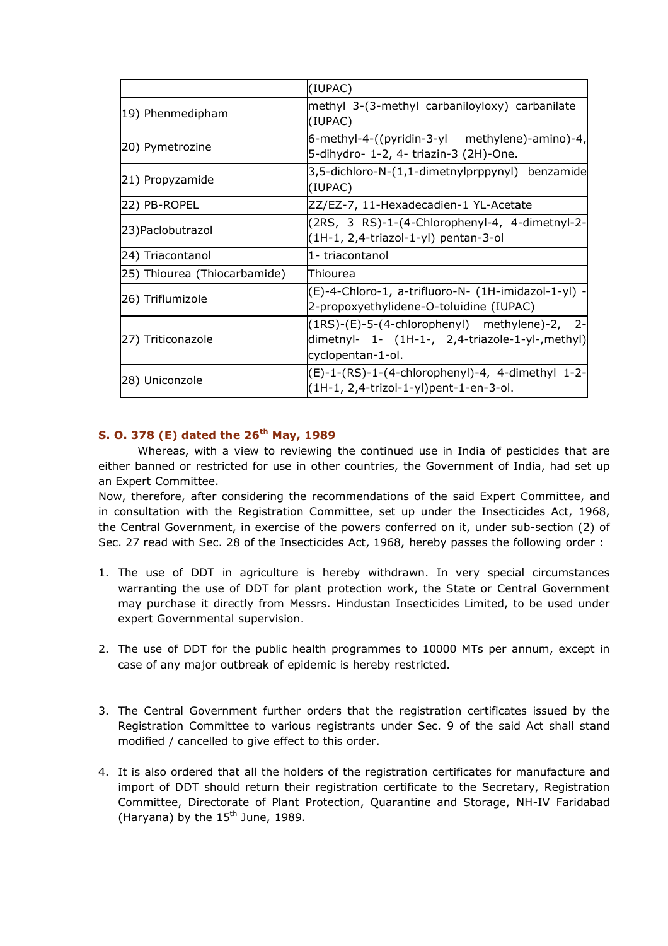|                              | (IUPAC)                                                                                                               |
|------------------------------|-----------------------------------------------------------------------------------------------------------------------|
| 19) Phenmedipham             | methyl 3-(3-methyl carbaniloyloxy) carbanilate<br>(IUPAC)                                                             |
| 20) Pymetrozine              | 6-methyl-4-((pyridin-3-yl methylene)-amino)-4,<br>5-dihydro- 1-2, 4- triazin-3 (2H)-One.                              |
| 21) Propyzamide              | 3,5-dichloro-N-(1,1-dimetnylprppynyl) benzamide<br>(IUPAC)                                                            |
| 22) PB-ROPEL                 | ZZ/EZ-7, 11-Hexadecadien-1 YL-Acetate                                                                                 |
| 23) Paclobutrazol            | (2RS, 3 RS)-1-(4-Chlorophenyl-4, 4-dimetnyl-2-<br>(1H-1, 2,4-triazol-1-yl) pentan-3-ol                                |
| 24) Triacontanol             | 1- triacontanol                                                                                                       |
| 25) Thiourea (Thiocarbamide) | Thiourea                                                                                                              |
| 26) Triflumizole             | (E)-4-Chloro-1, a-trifluoro-N- (1H-imidazol-1-yl) -<br>2-propoxyethylidene-O-toluidine (IUPAC)                        |
| 27) Triticonazole            | (1RS)-(E)-5-(4-chlorophenyl) methylene)-2, 2-<br>dimetnyl- 1- (1H-1-, 2,4-triazole-1-yl-,methyl)<br>cyclopentan-1-ol. |
| 28) Uniconzole               | (E)-1-(RS)-1-(4-chlorophenyl)-4, 4-dimethyl 1-2-<br>(1H-1, 2,4-trizol-1-yl)pent-1-en-3-ol.                            |

## S. O. 378 (E) dated the  $26^{th}$  May, 1989

Whereas, with a view to reviewing the continued use in India of pesticides that are either banned or restricted for use in other countries, the Government of India, had set up an Expert Committee.

Now, therefore, after considering the recommendations of the said Expert Committee, and in consultation with the Registration Committee, set up under the Insecticides Act, 1968, the Central Government, in exercise of the powers conferred on it, under sub-section (2) of Sec. 27 read with Sec. 28 of the Insecticides Act, 1968, hereby passes the following order :

- 1. The use of DDT in agriculture is hereby withdrawn. In very special circumstances warranting the use of DDT for plant protection work, the State or Central Government may purchase it directly from Messrs. Hindustan Insecticides Limited, to be used under expert Governmental supervision.
- 2. The use of DDT for the public health programmes to 10000 MTs per annum, except in case of any major outbreak of epidemic is hereby restricted.
- 3. The Central Government further orders that the registration certificates issued by the Registration Committee to various registrants under Sec. 9 of the said Act shall stand modified / cancelled to give effect to this order.
- 4. It is also ordered that all the holders of the registration certificates for manufacture and import of DDT should return their registration certificate to the Secretary, Registration Committee, Directorate of Plant Protection, Quarantine and Storage, NH-IV Faridabad (Haryana) by the  $15<sup>th</sup>$  June, 1989.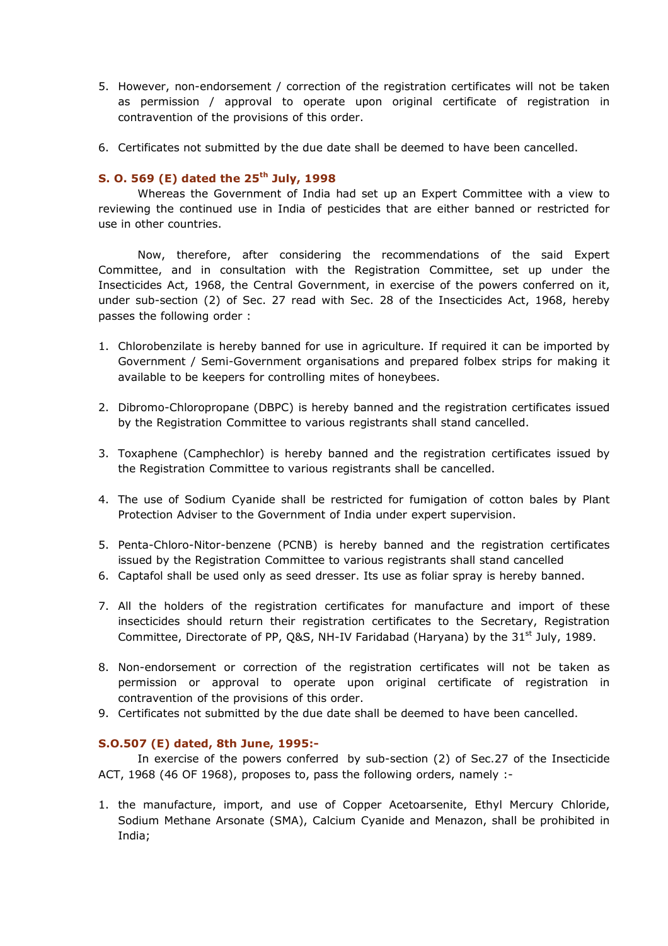- 5. However, non-endorsement / correction of the registration certificates will not be taken as permission / approval to operate upon original certificate of registration in contravention of the provisions of this order.
- 6. Certificates not submitted by the due date shall be deemed to have been cancelled.

## S. O. 569 (E) dated the  $25<sup>th</sup>$  July, 1998

Whereas the Government of India had set up an Expert Committee with a view to reviewing the continued use in India of pesticides that are either banned or restricted for use in other countries.

Now, therefore, after considering the recommendations of the said Expert Committee, and in consultation with the Registration Committee, set up under the Insecticides Act, 1968, the Central Government, in exercise of the powers conferred on it, under sub-section (2) of Sec. 27 read with Sec. 28 of the Insecticides Act, 1968, hereby passes the following order :

- 1. Chlorobenzilate is hereby banned for use in agriculture. If required it can be imported by Government / Semi-Government organisations and prepared folbex strips for making it available to be keepers for controlling mites of honeybees.
- 2. Dibromo-Chloropropane (DBPC) is hereby banned and the registration certificates issued by the Registration Committee to various registrants shall stand cancelled.
- 3. Toxaphene (Camphechlor) is hereby banned and the registration certificates issued by the Registration Committee to various registrants shall be cancelled.
- 4. The use of Sodium Cyanide shall be restricted for fumigation of cotton bales by Plant Protection Adviser to the Government of India under expert supervision.
- 5. Penta-Chloro-Nitor-benzene (PCNB) is hereby banned and the registration certificates issued by the Registration Committee to various registrants shall stand cancelled
- 6. Captafol shall be used only as seed dresser. Its use as foliar spray is hereby banned.
- 7. All the holders of the registration certificates for manufacture and import of these insecticides should return their registration certificates to the Secretary, Registration Committee, Directorate of PP, Q&S, NH-IV Faridabad (Haryana) by the  $31<sup>st</sup>$  July, 1989.
- 8. Non-endorsement or correction of the registration certificates will not be taken as permission or approval to operate upon original certificate of registration in contravention of the provisions of this order.
- 9. Certificates not submitted by the due date shall be deemed to have been cancelled.

#### S.O.507 (E) dated, 8th June, 1995:-

In exercise of the powers conferred by sub-section (2) of Sec.27 of the Insecticide ACT, 1968 (46 OF 1968), proposes to, pass the following orders, namely :-

1. the manufacture, import, and use of Copper Acetoarsenite, Ethyl Mercury Chloride, Sodium Methane Arsonate (SMA), Calcium Cyanide and Menazon, shall be prohibited in India;